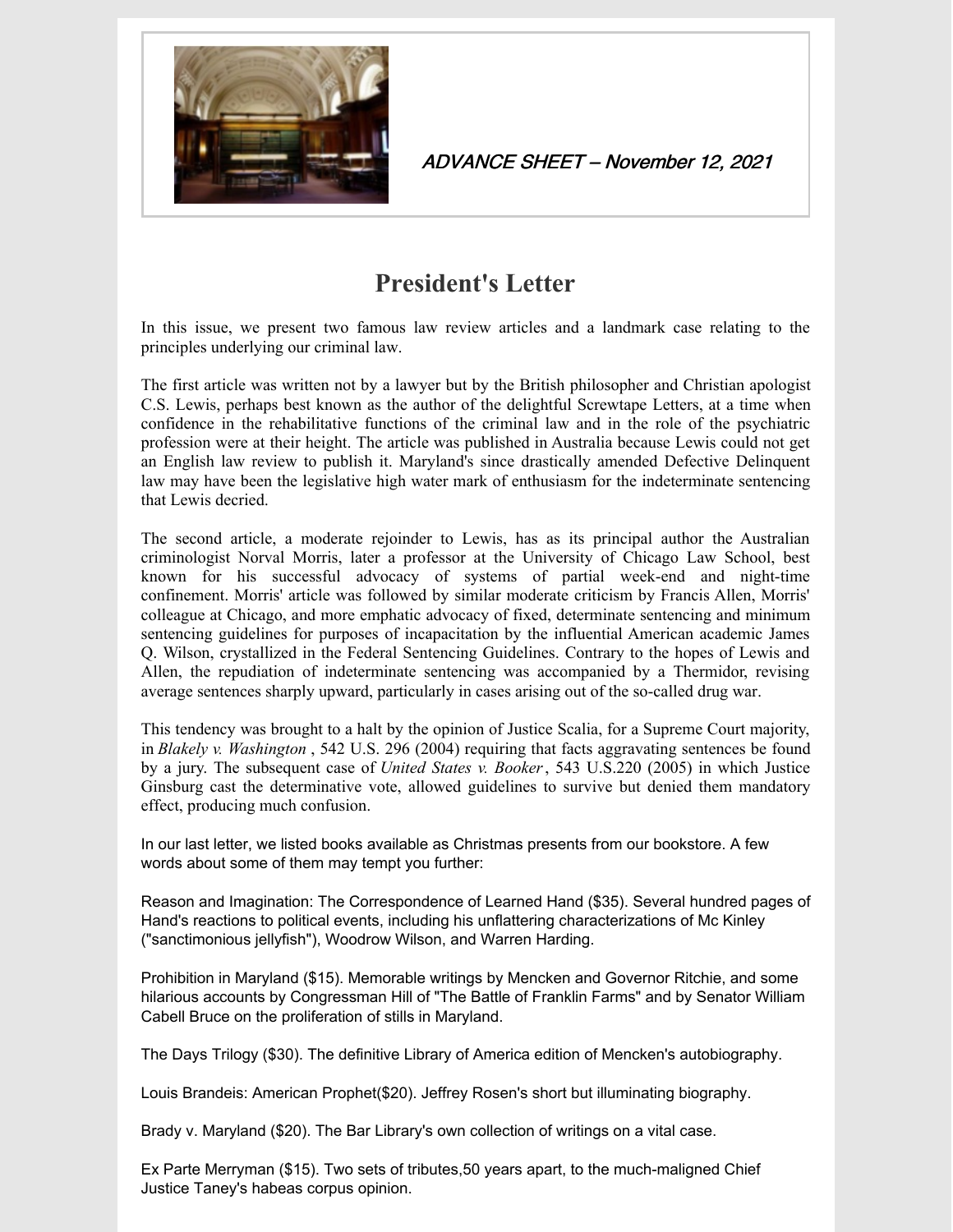

# **President's Letter**

In this issue, we present two famous law review articles and a landmark case relating to the principles underlying our criminal law.

The first article was written not by a lawyer but by the British philosopher and Christian apologist C.S. Lewis, perhaps best known as the author of the delightful Screwtape Letters, at a time when confidence in the rehabilitative functions of the criminal law and in the role of the psychiatric profession were at their height. The article was published in Australia because Lewis could not get an English law review to publish it. Maryland's since drastically amended Defective Delinquent law may have been the legislative high water mark of enthusiasm for the indeterminate sentencing that Lewis decried.

The second article, a moderate rejoinder to Lewis, has as its principal author the Australian criminologist Norval Morris, later a professor at the University of Chicago Law School, best known for his successful advocacy of systems of partial week-end and night-time confinement. Morris' article was followed by similar moderate criticism by Francis Allen, Morris' colleague at Chicago, and more emphatic advocacy of fixed, determinate sentencing and minimum sentencing guidelines for purposes of incapacitation by the influential American academic James Q. Wilson, crystallized in the Federal Sentencing Guidelines. Contrary to the hopes of Lewis and Allen, the repudiation of indeterminate sentencing was accompanied by a Thermidor, revising average sentences sharply upward, particularly in cases arising out of the so-called drug war.

This tendency was brought to a halt by the opinion of Justice Scalia, for a Supreme Court majority, in *Blakely v. Washington* , 542 U.S. 296 (2004) requiring that facts aggravating sentences be found by a jury. The subsequent case of *United States v. Booker*, 543 U.S.220 (2005) in which Justice Ginsburg cast the determinative vote, allowed guidelines to survive but denied them mandatory effect, producing much confusion.

In our last letter, we listed books available as Christmas presents from our bookstore. A few words about some of them may tempt you further:

Reason and Imagination: The Correspondence of Learned Hand (\$35). Several hundred pages of Hand's reactions to political events, including his unflattering characterizations of Mc Kinley ("sanctimonious jellyfish"), Woodrow Wilson, and Warren Harding.

Prohibition in Maryland (\$15). Memorable writings by Mencken and Governor Ritchie, and some hilarious accounts by Congressman Hill of "The Battle of Franklin Farms" and by Senator William Cabell Bruce on the proliferation of stills in Maryland.

The Days Trilogy (\$30). The definitive Library of America edition of Mencken's autobiography.

Louis Brandeis: American Prophet(\$20). Jeffrey Rosen's short but illuminating biography.

Brady v. Maryland (\$20). The Bar Library's own collection of writings on a vital case.

Ex Parte Merryman (\$15). Two sets of tributes,50 years apart, to the much-maligned Chief Justice Taney's habeas corpus opinion.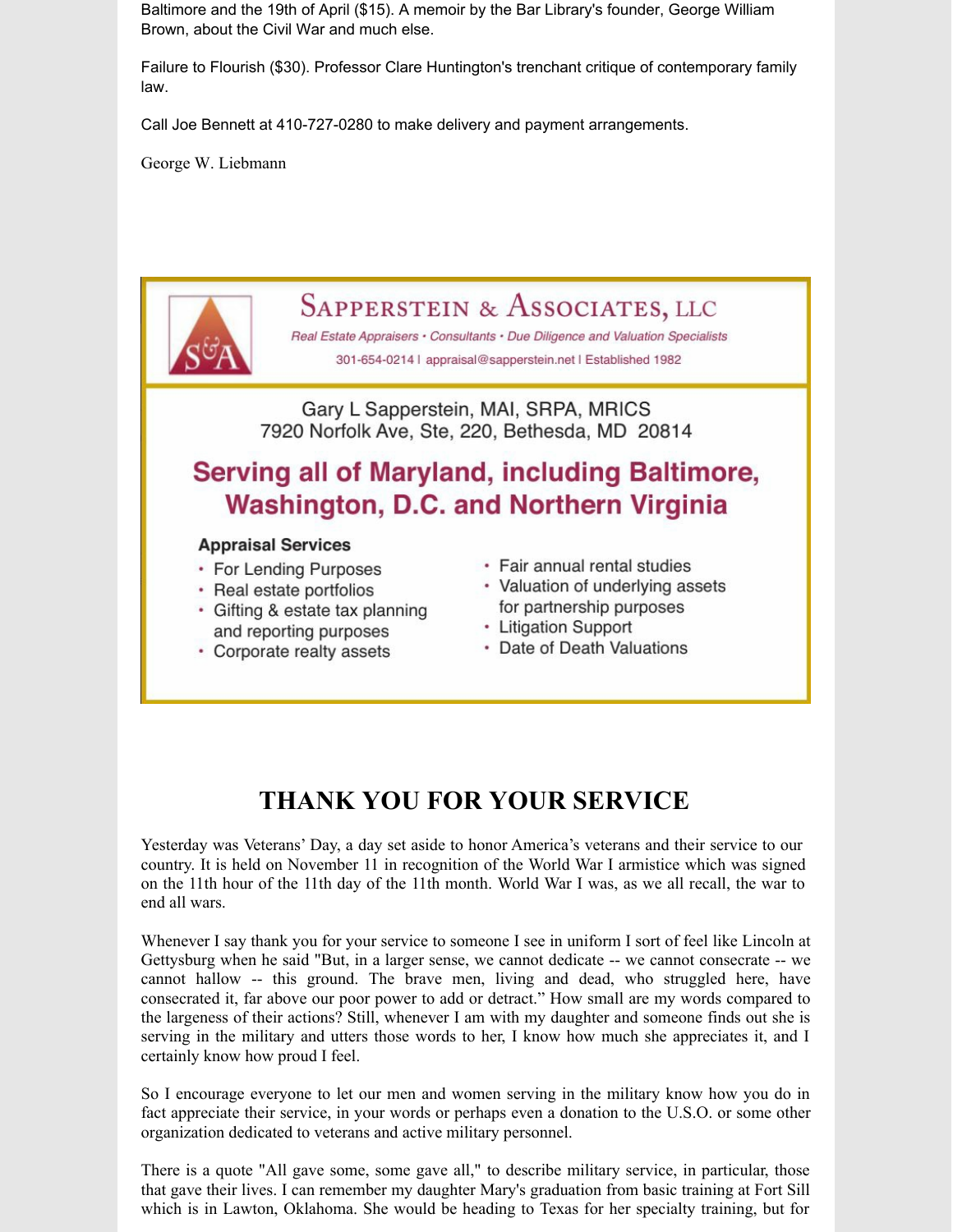Baltimore and the 19th of April (\$15). A memoir by the Bar Library's founder, George William Brown, about the Civil War and much else.

Failure to Flourish (\$30). Professor Clare Huntington's trenchant critique of contemporary family law.

Call Joe Bennett at 410-727-0280 to make delivery and payment arrangements.

George W. Liebmann



- Corporate realty assets
- Date of Death Valuations

# **THANK YOU FOR YOUR SERVICE**

Yesterday was Veterans' Day, a day set aside to honor America's veterans and their service to our country. It is held on November 11 in recognition of the World War I armistice which was signed on the 11th hour of the 11th day of the 11th month. World War I was, as we all recall, the war to end all wars.

Whenever I say thank you for your service to someone I see in uniform I sort of feel like Lincoln at Gettysburg when he said "But, in a larger sense, we cannot dedicate -- we cannot consecrate -- we cannot hallow -- this ground. The brave men, living and dead, who struggled here, have consecrated it, far above our poor power to add or detract." How small are my words compared to the largeness of their actions? Still, whenever I am with my daughter and someone finds out she is serving in the military and utters those words to her, I know how much she appreciates it, and I certainly know how proud I feel.

So I encourage everyone to let our men and women serving in the military know how you do in fact appreciate their service, in your words or perhaps even a donation to the U.S.O. or some other organization dedicated to veterans and active military personnel.

There is a quote "All gave some, some gave all," to describe military service, in particular, those that gave their lives. I can remember my daughter Mary's graduation from basic training at Fort Sill which is in Lawton, Oklahoma. She would be heading to Texas for her specialty training, but for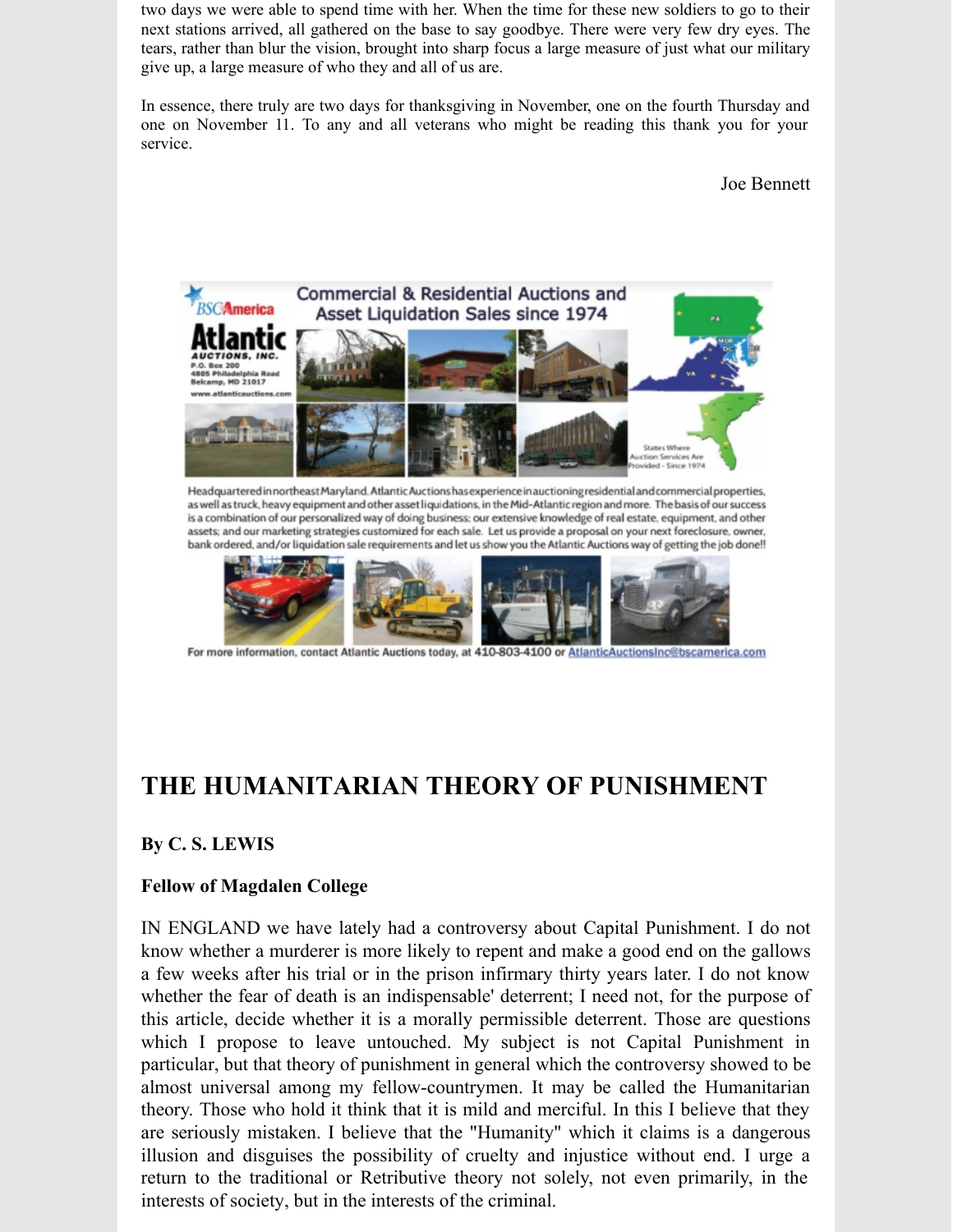two days we were able to spend time with her. When the time for these new soldiers to go to their next stations arrived, all gathered on the base to say goodbye. There were very few dry eyes. The tears, rather than blur the vision, brought into sharp focus a large measure of just what our military give up, a large measure of who they and all of us are.

In essence, there truly are two days for thanksgiving in November, one on the fourth Thursday and one on November 11. To any and all veterans who might be reading this thank you for your service.

Joe Bennett



Headquartered innortheast Maryland, Atlantic Auctions has experience in auctioning residential and commercial properties, as well as truck, heavy equipment and other asset liquidations, in the Mid-Atlantic region and more. The basis of our success is a combination of our personalized way of doing business; our extensive knowledge of real estate, equipment, and other assets; and our marketing strategies customized for each sale. Let us provide a proposal on your next foreclosure, owner, bank ordered, and/or liquidation sale requirements and let us show you the Atlantic Auctions way of getting the job done!!



For more information, contact Atlantic Auctions today, at 410-803-4100 or AtlanticAuctionsInc@bscamerica.com

# **THE HUMANITARIAN THEORY OF PUNISHMENT**

### **By C. S. LEWIS**

### **Fellow of Magdalen College**

IN ENGLAND we have lately had a controversy about Capital Punishment. I do not know whether a murderer is more likely to repent and make a good end on the gallows a few weeks after his trial or in the prison infirmary thirty years later. I do not know whether the fear of death is an indispensable' deterrent; I need not, for the purpose of this article, decide whether it is a morally permissible deterrent. Those are questions which I propose to leave untouched. My subject is not Capital Punishment in particular, but that theory of punishment in general which the controversy showed to be almost universal among my fellow-countrymen. It may be called the Humanitarian theory. Those who hold it think that it is mild and merciful. In this I believe that they are seriously mistaken. I believe that the "Humanity" which it claims is a dangerous illusion and disguises the possibility of cruelty and injustice without end. I urge a return to the traditional or Retributive theory not solely, not even primarily, in the interests of society, but in the interests of the criminal.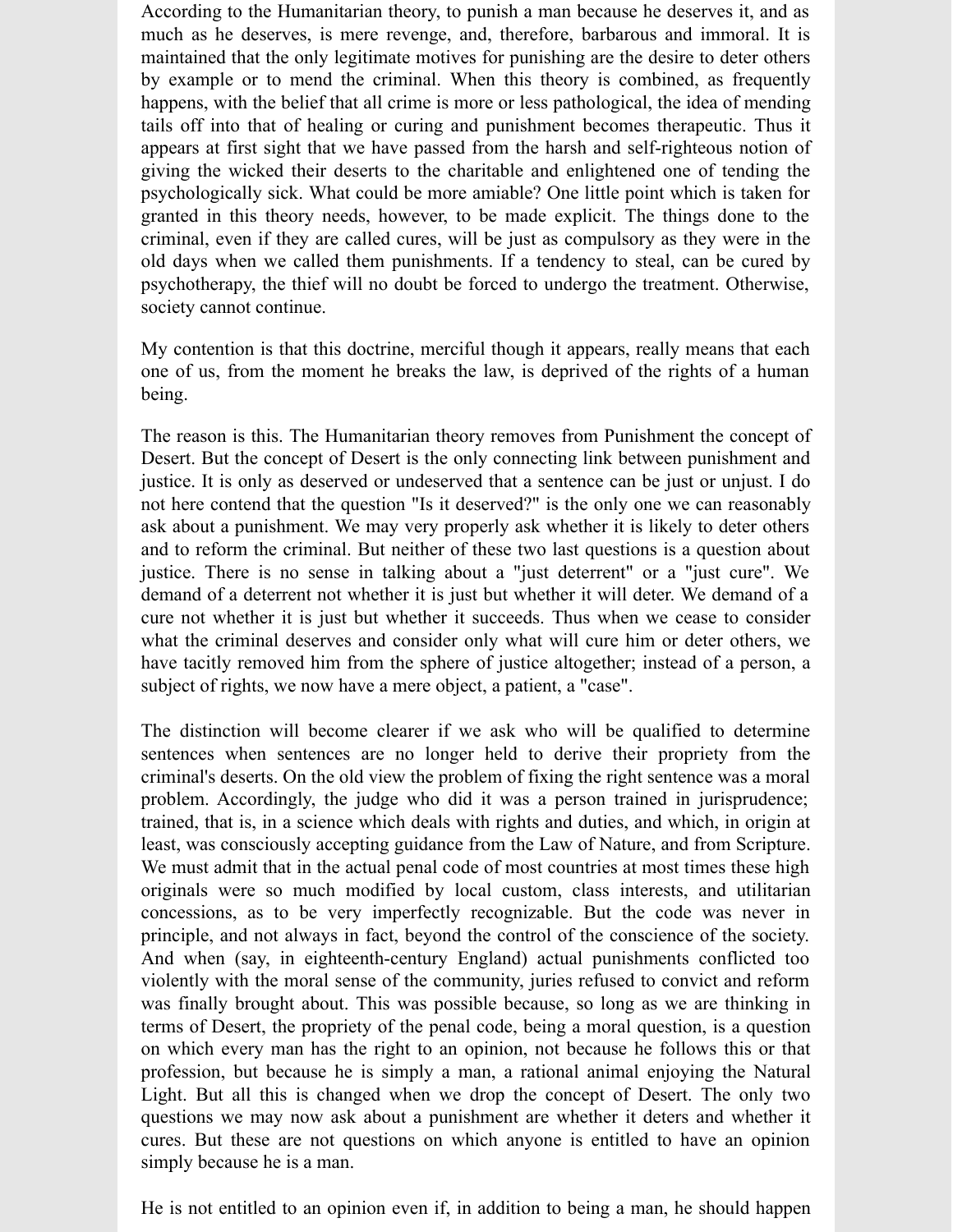According to the Humanitarian theory, to punish a man because he deserves it, and as much as he deserves, is mere revenge, and, therefore, barbarous and immoral. It is maintained that the only legitimate motives for punishing are the desire to deter others by example or to mend the criminal. When this theory is combined, as frequently happens, with the belief that all crime is more or less pathological, the idea of mending tails off into that of healing or curing and punishment becomes therapeutic. Thus it appears at first sight that we have passed from the harsh and self-righteous notion of giving the wicked their deserts to the charitable and enlightened one of tending the psychologically sick. What could be more amiable? One little point which is taken for granted in this theory needs, however, to be made explicit. The things done to the criminal, even if they are called cures, will be just as compulsory as they were in the old days when we called them punishments. If a tendency to steal, can be cured by psychotherapy, the thief will no doubt be forced to undergo the treatment. Otherwise, society cannot continue.

My contention is that this doctrine, merciful though it appears, really means that each one of us, from the moment he breaks the law, is deprived of the rights of a human being.

The reason is this. The Humanitarian theory removes from Punishment the concept of Desert. But the concept of Desert is the only connecting link between punishment and justice. It is only as deserved or undeserved that a sentence can be just or unjust. I do not here contend that the question "Is it deserved?" is the only one we can reasonably ask about a punishment. We may very properly ask whether it is likely to deter others and to reform the criminal. But neither of these two last questions is a question about justice. There is no sense in talking about a "just deterrent" or a "just cure". We demand of a deterrent not whether it is just but whether it will deter. We demand of a cure not whether it is just but whether it succeeds. Thus when we cease to consider what the criminal deserves and consider only what will cure him or deter others, we have tacitly removed him from the sphere of justice altogether; instead of a person, a subject of rights, we now have a mere object, a patient, a "case".

The distinction will become clearer if we ask who will be qualified to determine sentences when sentences are no longer held to derive their propriety from the criminal's deserts. On the old view the problem of fixing the right sentence was a moral problem. Accordingly, the judge who did it was a person trained in jurisprudence; trained, that is, in a science which deals with rights and duties, and which, in origin at least, was consciously accepting guidance from the Law of Nature, and from Scripture. We must admit that in the actual penal code of most countries at most times these high originals were so much modified by local custom, class interests, and utilitarian concessions, as to be very imperfectly recognizable. But the code was never in principle, and not always in fact, beyond the control of the conscience of the society. And when (say, in eighteenth-century England) actual punishments conflicted too violently with the moral sense of the community, juries refused to convict and reform was finally brought about. This was possible because, so long as we are thinking in terms of Desert, the propriety of the penal code, being a moral question, is a question on which every man has the right to an opinion, not because he follows this or that profession, but because he is simply a man, a rational animal enjoying the Natural Light. But all this is changed when we drop the concept of Desert. The only two questions we may now ask about a punishment are whether it deters and whether it cures. But these are not questions on which anyone is entitled to have an opinion simply because he is a man.

He is not entitled to an opinion even if, in addition to being a man, he should happen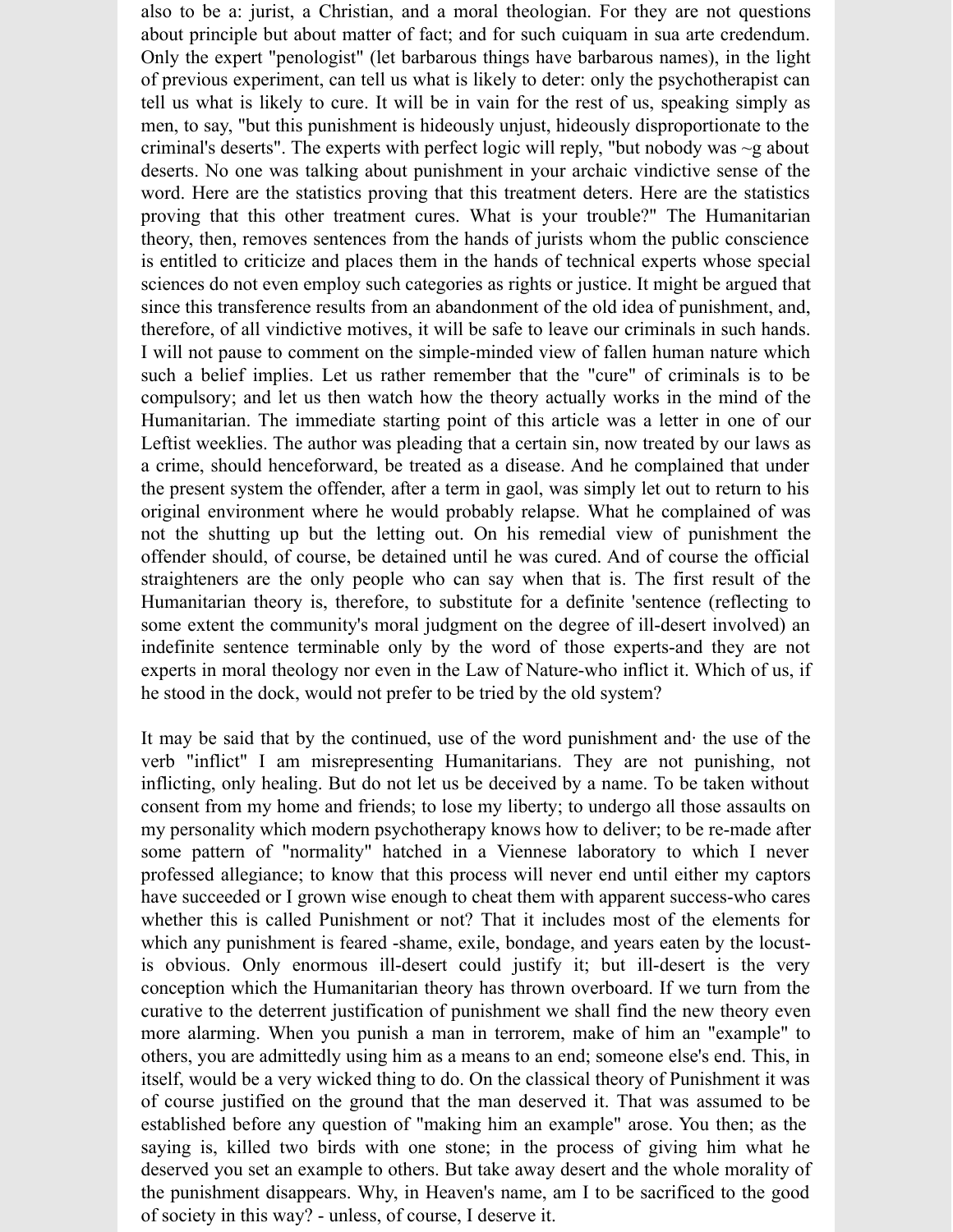also to be a: jurist, a Christian, and a moral theologian. For they are not questions about principle but about matter of fact; and for such cuiquam in sua arte credendum. Only the expert "penologist" (let barbarous things have barbarous names), in the light of previous experiment, can tell us what is likely to deter: only the psychotherapist can tell us what is likely to cure. It will be in vain for the rest of us, speaking simply as men, to say, "but this punishment is hideously unjust, hideously disproportionate to the criminal's deserts". The experts with perfect logic will reply, "but nobody was  $\sim g$  about deserts. No one was talking about punishment in your archaic vindictive sense of the word. Here are the statistics proving that this treatment deters. Here are the statistics proving that this other treatment cures. What is your trouble?" The Humanitarian theory, then, removes sentences from the hands of jurists whom the public conscience is entitled to criticize and places them in the hands of technical experts whose special sciences do not even employ such categories as rights or justice. It might be argued that since this transference results from an abandonment of the old idea of punishment, and, therefore, of all vindictive motives, it will be safe to leave our criminals in such hands. I will not pause to comment on the simple-minded view of fallen human nature which such a belief implies. Let us rather remember that the "cure" of criminals is to be compulsory; and let us then watch how the theory actually works in the mind of the Humanitarian. The immediate starting point of this article was a letter in one of our Leftist weeklies. The author was pleading that a certain sin, now treated by our laws as a crime, should henceforward, be treated as a disease. And he complained that under the present system the offender, after a term in gaol, was simply let out to return to his original environment where he would probably relapse. What he complained of was not the shutting up but the letting out. On his remedial view of punishment the offender should, of course, be detained until he was cured. And of course the official straighteners are the only people who can say when that is. The first result of the Humanitarian theory is, therefore, to substitute for a definite 'sentence (reflecting to some extent the community's moral judgment on the degree of ill-desert involved) an indefinite sentence terminable only by the word of those experts-and they are not experts in moral theology nor even in the Law of Nature-who inflict it. Which of us, if he stood in the dock, would not prefer to be tried by the old system?

It may be said that by the continued, use of the word punishment and· the use of the verb "inflict" I am misrepresenting Humanitarians. They are not punishing, not inflicting, only healing. But do not let us be deceived by a name. To be taken without consent from my home and friends; to lose my liberty; to undergo all those assaults on my personality which modern psychotherapy knows how to deliver; to be re-made after some pattern of "normality" hatched in a Viennese laboratory to which I never professed allegiance; to know that this process will never end until either my captors have succeeded or I grown wise enough to cheat them with apparent success-who cares whether this is called Punishment or not? That it includes most of the elements for which any punishment is feared -shame, exile, bondage, and years eaten by the locustis obvious. Only enormous ill-desert could justify it; but ill-desert is the very conception which the Humanitarian theory has thrown overboard. If we turn from the curative to the deterrent justification of punishment we shall find the new theory even more alarming. When you punish a man in terrorem, make of him an "example" to others, you are admittedly using him as a means to an end; someone else's end. This, in itself, would be a very wicked thing to do. On the classical theory of Punishment it was of course justified on the ground that the man deserved it. That was assumed to be established before any question of "making him an example" arose. You then; as the saying is, killed two birds with one stone; in the process of giving him what he deserved you set an example to others. But take away desert and the whole morality of the punishment disappears. Why, in Heaven's name, am I to be sacrificed to the good of society in this way? - unless, of course, I deserve it.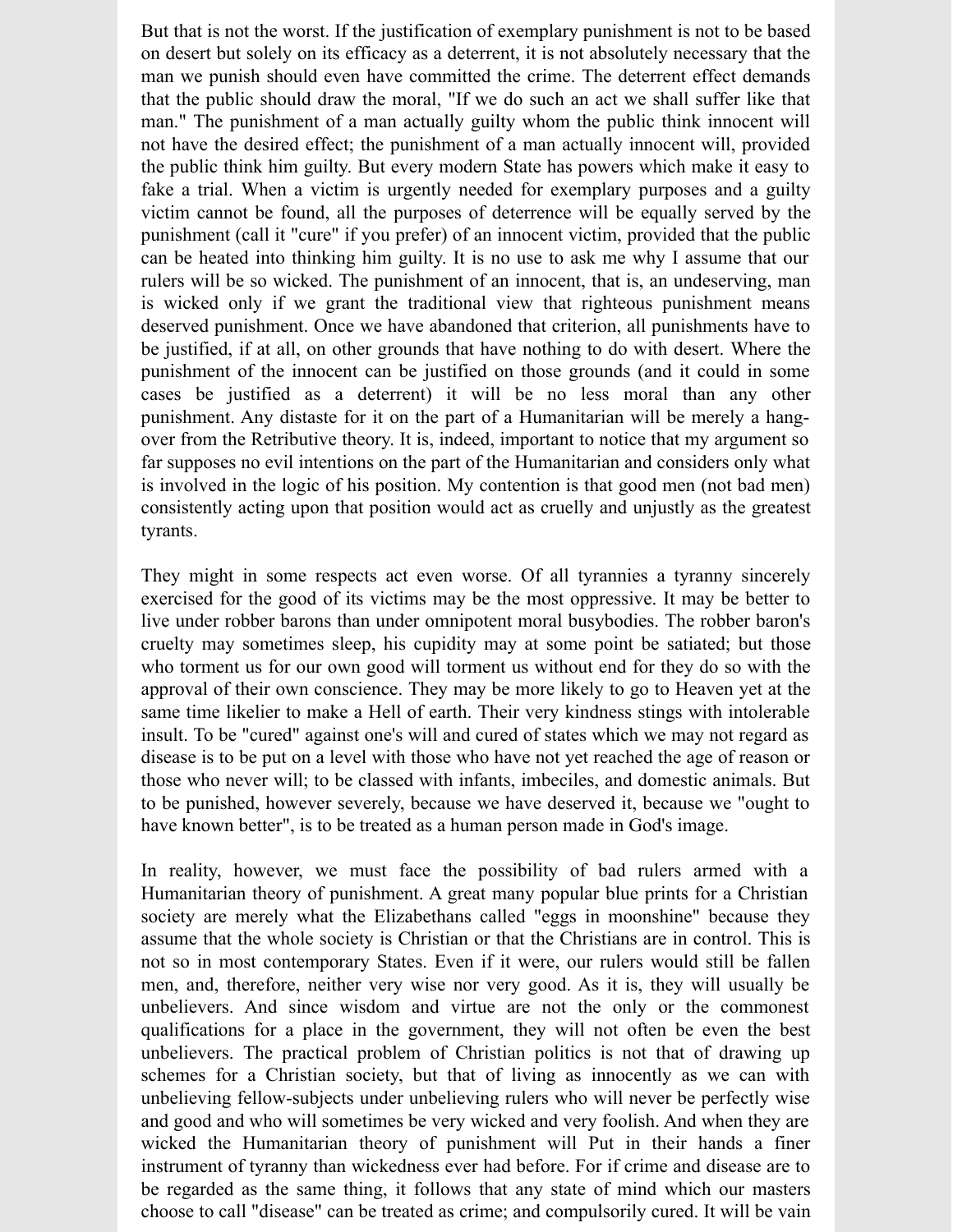But that is not the worst. If the justification of exemplary punishment is not to be based on desert but solely on its efficacy as a deterrent, it is not absolutely necessary that the man we punish should even have committed the crime. The deterrent effect demands that the public should draw the moral, "If we do such an act we shall suffer like that man." The punishment of a man actually guilty whom the public think innocent will not have the desired effect; the punishment of a man actually innocent will, provided the public think him guilty. But every modern State has powers which make it easy to fake a trial. When a victim is urgently needed for exemplary purposes and a guilty victim cannot be found, all the purposes of deterrence will be equally served by the punishment (call it "cure" if you prefer) of an innocent victim, provided that the public can be heated into thinking him guilty. It is no use to ask me why I assume that our rulers will be so wicked. The punishment of an innocent, that is, an undeserving, man is wicked only if we grant the traditional view that righteous punishment means deserved punishment. Once we have abandoned that criterion, all punishments have to be justified, if at all, on other grounds that have nothing to do with desert. Where the punishment of the innocent can be justified on those grounds (and it could in some cases be justified as a deterrent) it will be no less moral than any other punishment. Any distaste for it on the part of a Humanitarian will be merely a hangover from the Retributive theory. It is, indeed, important to notice that my argument so far supposes no evil intentions on the part of the Humanitarian and considers only what is involved in the logic of his position. My contention is that good men (not bad men) consistently acting upon that position would act as cruelly and unjustly as the greatest tyrants.

They might in some respects act even worse. Of all tyrannies a tyranny sincerely exercised for the good of its victims may be the most oppressive. It may be better to live under robber barons than under omnipotent moral busybodies. The robber baron's cruelty may sometimes sleep, his cupidity may at some point be satiated; but those who torment us for our own good will torment us without end for they do so with the approval of their own conscience. They may be more likely to go to Heaven yet at the same time likelier to make a Hell of earth. Their very kindness stings with intolerable insult. To be "cured" against one's will and cured of states which we may not regard as disease is to be put on a level with those who have not yet reached the age of reason or those who never will; to be classed with infants, imbeciles, and domestic animals. But to be punished, however severely, because we have deserved it, because we "ought to have known better", is to be treated as a human person made in God's image.

In reality, however, we must face the possibility of bad rulers armed with a Humanitarian theory of punishment. A great many popular blue prints for a Christian society are merely what the Elizabethans called "eggs in moonshine" because they assume that the whole society is Christian or that the Christians are in control. This is not so in most contemporary States. Even if it were, our rulers would still be fallen men, and, therefore, neither very wise nor very good. As it is, they will usually be unbelievers. And since wisdom and virtue are not the only or the commonest qualifications for a place in the government, they will not often be even the best unbelievers. The practical problem of Christian politics is not that of drawing up schemes for a Christian society, but that of living as innocently as we can with unbelieving fellow-subjects under unbelieving rulers who will never be perfectly wise and good and who will sometimes be very wicked and very foolish. And when they are wicked the Humanitarian theory of punishment will Put in their hands a finer instrument of tyranny than wickedness ever had before. For if crime and disease are to be regarded as the same thing, it follows that any state of mind which our masters choose to call "disease" can be treated as crime; and compulsorily cured. It will be vain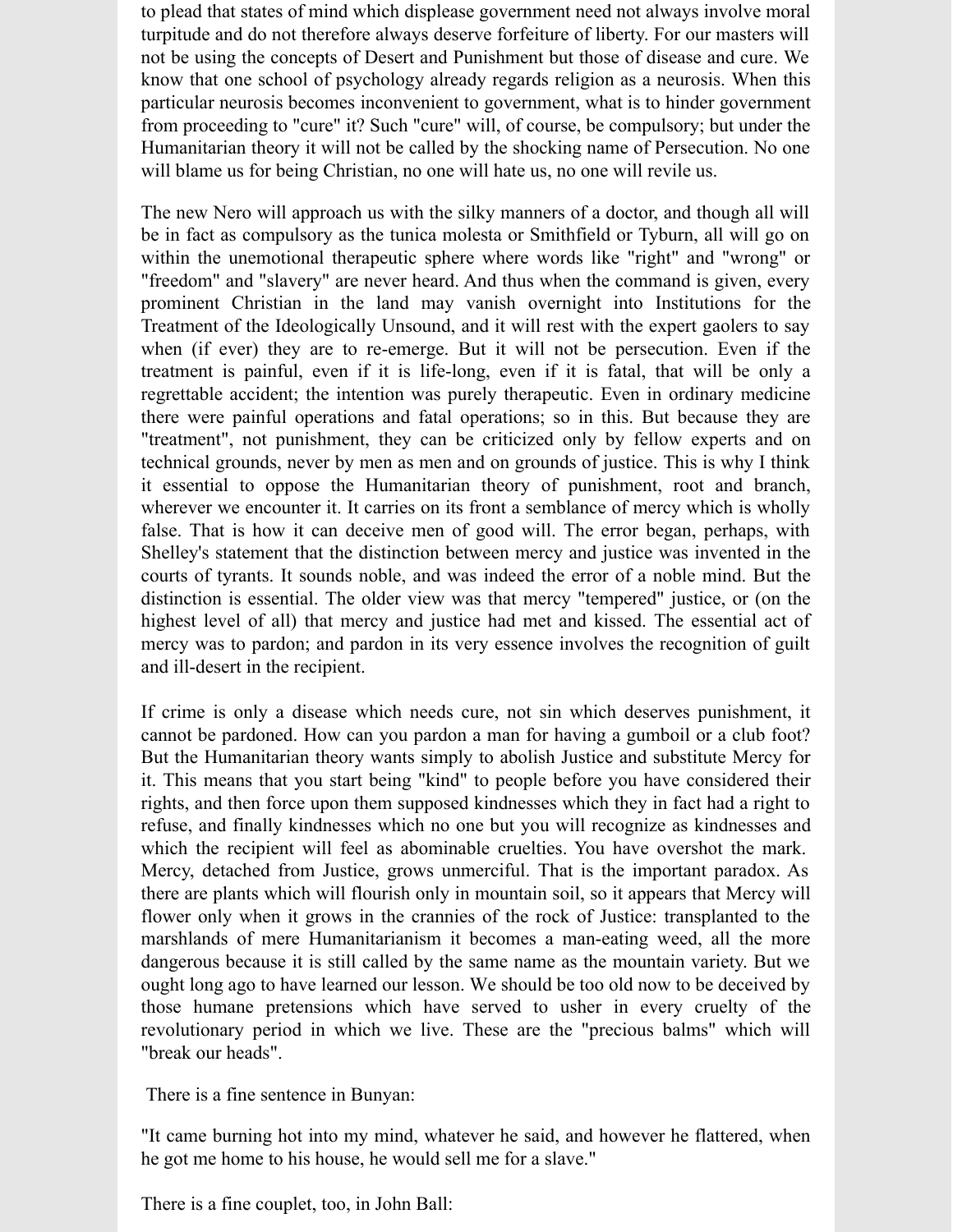to plead that states of mind which displease government need not always involve moral turpitude and do not therefore always deserve forfeiture of liberty. For our masters will not be using the concepts of Desert and Punishment but those of disease and cure. We know that one school of psychology already regards religion as a neurosis. When this particular neurosis becomes inconvenient to government, what is to hinder government from proceeding to "cure" it? Such "cure" will, of course, be compulsory; but under the Humanitarian theory it will not be called by the shocking name of Persecution. No one will blame us for being Christian, no one will hate us, no one will revile us.

The new Nero will approach us with the silky manners of a doctor, and though all will be in fact as compulsory as the tunica molesta or Smithfield or Tyburn, all will go on within the unemotional therapeutic sphere where words like "right" and "wrong" or "freedom" and "slavery" are never heard. And thus when the command is given, every prominent Christian in the land may vanish overnight into Institutions for the Treatment of the Ideologically Unsound, and it will rest with the expert gaolers to say when (if ever) they are to re-emerge. But it will not be persecution. Even if the treatment is painful, even if it is life-long, even if it is fatal, that will be only a regrettable accident; the intention was purely therapeutic. Even in ordinary medicine there were painful operations and fatal operations; so in this. But because they are "treatment", not punishment, they can be criticized only by fellow experts and on technical grounds, never by men as men and on grounds of justice. This is why I think it essential to oppose the Humanitarian theory of punishment, root and branch, wherever we encounter it. It carries on its front a semblance of mercy which is wholly false. That is how it can deceive men of good will. The error began, perhaps, with Shelley's statement that the distinction between mercy and justice was invented in the courts of tyrants. It sounds noble, and was indeed the error of a noble mind. But the distinction is essential. The older view was that mercy "tempered" justice, or (on the highest level of all) that mercy and justice had met and kissed. The essential act of mercy was to pardon; and pardon in its very essence involves the recognition of guilt and ill-desert in the recipient.

If crime is only a disease which needs cure, not sin which deserves punishment, it cannot be pardoned. How can you pardon a man for having a gumboil or a club foot? But the Humanitarian theory wants simply to abolish Justice and substitute Mercy for it. This means that you start being "kind" to people before you have considered their rights, and then force upon them supposed kindnesses which they in fact had a right to refuse, and finally kindnesses which no one but you will recognize as kindnesses and which the recipient will feel as abominable cruelties. You have overshot the mark. Mercy, detached from Justice, grows unmerciful. That is the important paradox. As there are plants which will flourish only in mountain soil, so it appears that Mercy will flower only when it grows in the crannies of the rock of Justice: transplanted to the marshlands of mere Humanitarianism it becomes a man-eating weed, all the more dangerous because it is still called by the same name as the mountain variety. But we ought long ago to have learned our lesson. We should be too old now to be deceived by those humane pretensions which have served to usher in every cruelty of the revolutionary period in which we live. These are the "precious balms" which will "break our heads".

There is a fine sentence in Bunyan:

"It came burning hot into my mind, whatever he said, and however he flattered, when he got me home to his house, he would sell me for a slave."

There is a fine couplet, too, in John Ball: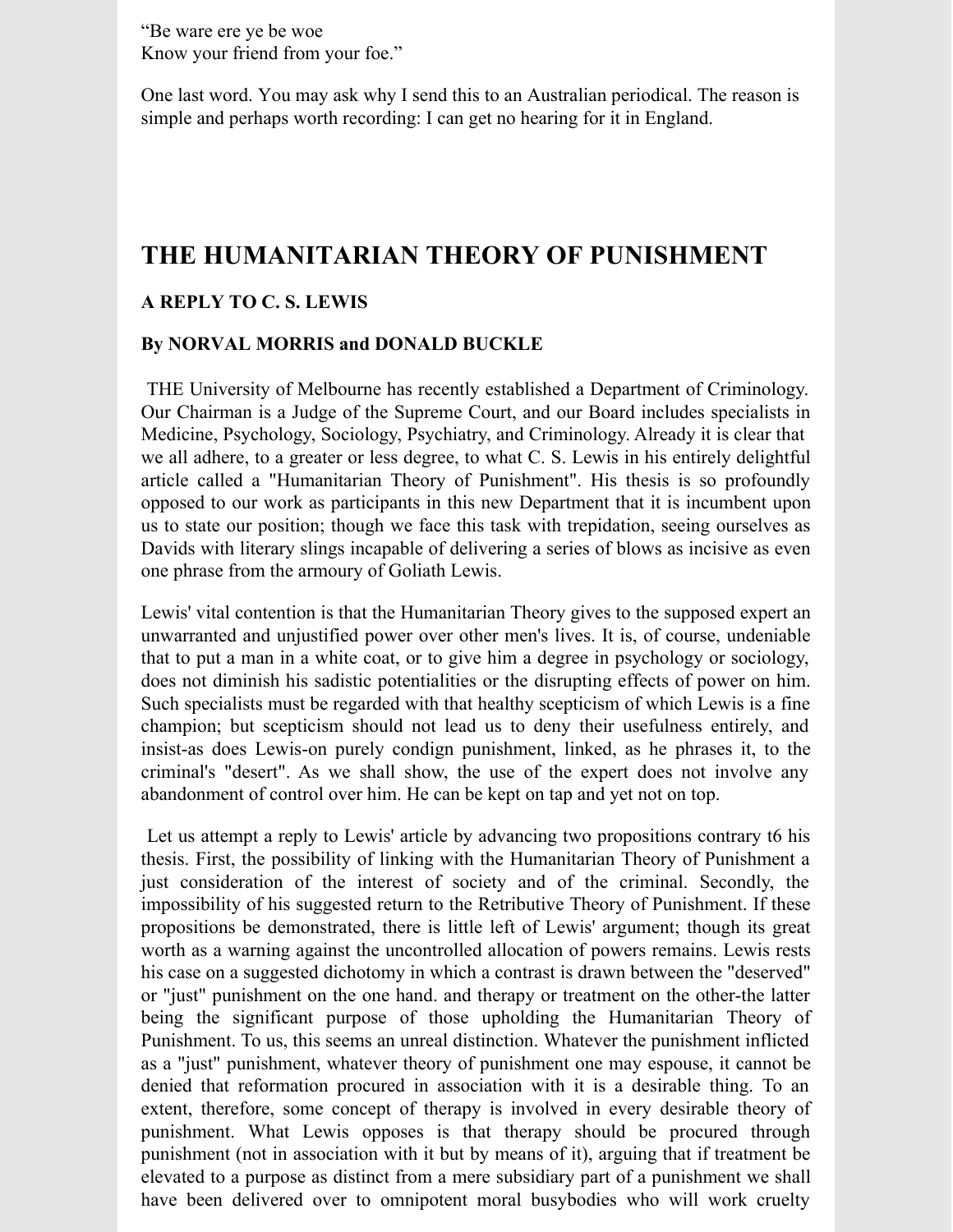"Be ware ere ye be woe Know your friend from your foe."

One last word. You may ask why I send this to an Australian periodical. The reason is simple and perhaps worth recording: I can get no hearing for it in England.

# **THE HUMANITARIAN THEORY OF PUNISHMENT**

## **A REPLY TO C. S. LEWIS**

## **By NORVAL MORRIS and DONALD BUCKLE**

THE University of Melbourne has recently established a Department of Criminology. Our Chairman is a Judge of the Supreme Court, and our Board includes specialists in Medicine, Psychology, Sociology, Psychiatry, and Criminology. Already it is clear that we all adhere, to a greater or less degree, to what C. S. Lewis in his entirely delightful article called a "Humanitarian Theory of Punishment". His thesis is so profoundly opposed to our work as participants in this new Department that it is incumbent upon us to state our position; though we face this task with trepidation, seeing ourselves as Davids with literary slings incapable of delivering a series of blows as incisive as even one phrase from the armoury of Goliath Lewis.

Lewis' vital contention is that the Humanitarian Theory gives to the supposed expert an unwarranted and unjustified power over other men's lives. It is, of course, undeniable that to put a man in a white coat, or to give him a degree in psychology or sociology, does not diminish his sadistic potentialities or the disrupting effects of power on him. Such specialists must be regarded with that healthy scepticism of which Lewis is a fine champion; but scepticism should not lead us to deny their usefulness entirely, and insist-as does Lewis-on purely condign punishment, linked, as he phrases it, to the criminal's "desert". As we shall show, the use of the expert does not involve any abandonment of control over him. He can be kept on tap and yet not on top.

Let us attempt a reply to Lewis' article by advancing two propositions contrary t6 his thesis. First, the possibility of linking with the Humanitarian Theory of Punishment a just consideration of the interest of society and of the criminal. Secondly, the impossibility of his suggested return to the Retributive Theory of Punishment. If these propositions be demonstrated, there is little left of Lewis' argument; though its great worth as a warning against the uncontrolled allocation of powers remains. Lewis rests his case on a suggested dichotomy in which a contrast is drawn between the "deserved" or "just" punishment on the one hand. and therapy or treatment on the other-the latter being the significant purpose of those upholding the Humanitarian Theory of Punishment. To us, this seems an unreal distinction. Whatever the punishment inflicted as a "just" punishment, whatever theory of punishment one may espouse, it cannot be denied that reformation procured in association with it is a desirable thing. To an extent, therefore, some concept of therapy is involved in every desirable theory of punishment. What Lewis opposes is that therapy should be procured through punishment (not in association with it but by means of it), arguing that if treatment be elevated to a purpose as distinct from a mere subsidiary part of a punishment we shall have been delivered over to omnipotent moral busybodies who will work cruelty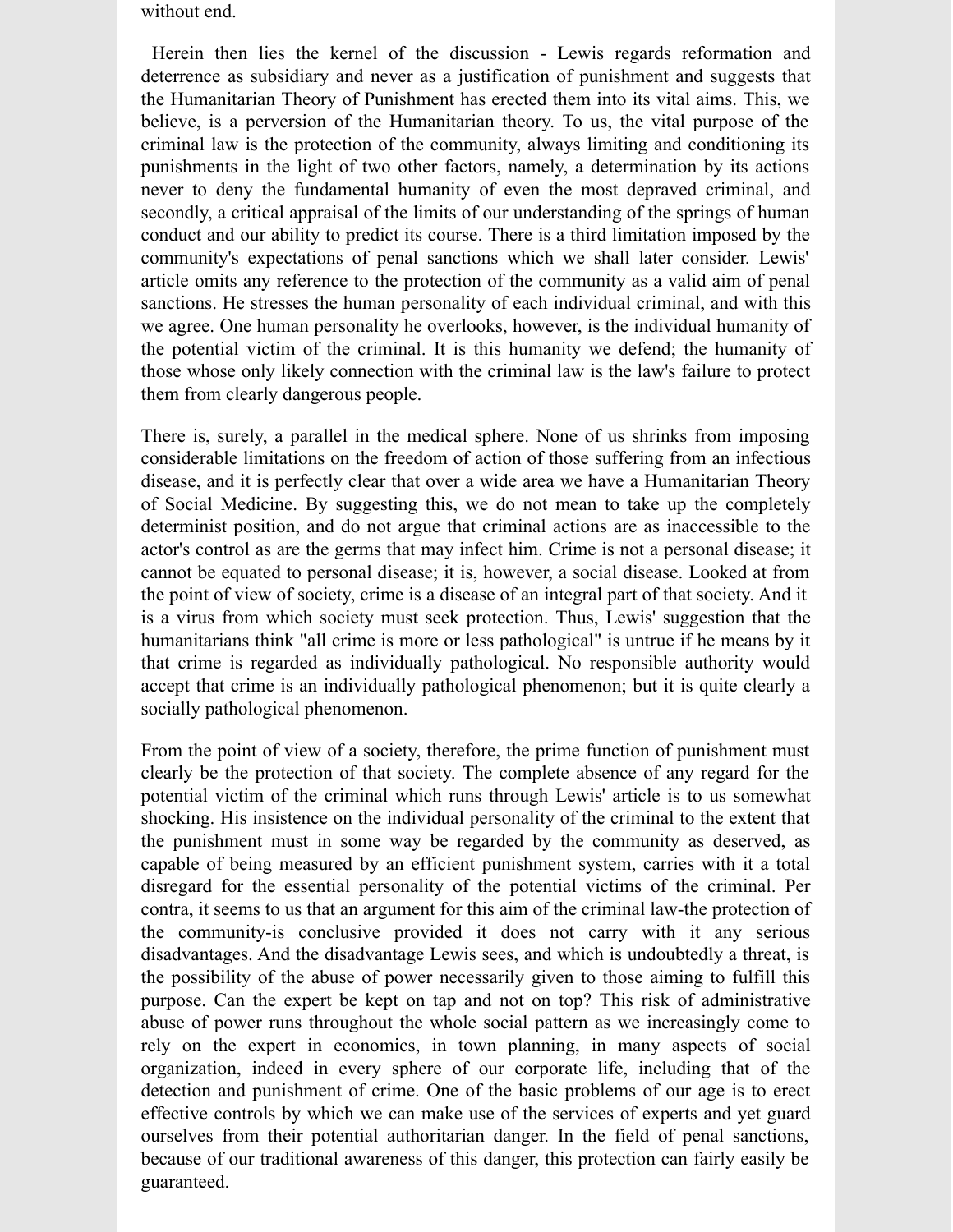without end.

Herein then lies the kernel of the discussion - Lewis regards reformation and deterrence as subsidiary and never as a justification of punishment and suggests that the Humanitarian Theory of Punishment has erected them into its vital aims. This, we believe, is a perversion of the Humanitarian theory. To us, the vital purpose of the criminal law is the protection of the community, always limiting and conditioning its punishments in the light of two other factors, namely, a determination by its actions never to deny the fundamental humanity of even the most depraved criminal, and secondly, a critical appraisal of the limits of our understanding of the springs of human conduct and our ability to predict its course. There is a third limitation imposed by the community's expectations of penal sanctions which we shall later consider. Lewis' article omits any reference to the protection of the community as a valid aim of penal sanctions. He stresses the human personality of each individual criminal, and with this we agree. One human personality he overlooks, however, is the individual humanity of the potential victim of the criminal. It is this humanity we defend; the humanity of those whose only likely connection with the criminal law is the law's failure to protect them from clearly dangerous people.

There is, surely, a parallel in the medical sphere. None of us shrinks from imposing considerable limitations on the freedom of action of those suffering from an infectious disease, and it is perfectly clear that over a wide area we have a Humanitarian Theory of Social Medicine. By suggesting this, we do not mean to take up the completely determinist position, and do not argue that criminal actions are as inaccessible to the actor's control as are the germs that may infect him. Crime is not a personal disease; it cannot be equated to personal disease; it is, however, a social disease. Looked at from the point of view of society, crime is a disease of an integral part of that society. And it is a virus from which society must seek protection. Thus, Lewis' suggestion that the humanitarians think "all crime is more or less pathological" is untrue if he means by it that crime is regarded as individually pathological. No responsible authority would accept that crime is an individually pathological phenomenon; but it is quite clearly a socially pathological phenomenon.

From the point of view of a society, therefore, the prime function of punishment must clearly be the protection of that society. The complete absence of any regard for the potential victim of the criminal which runs through Lewis' article is to us somewhat shocking. His insistence on the individual personality of the criminal to the extent that the punishment must in some way be regarded by the community as deserved, as capable of being measured by an efficient punishment system, carries with it a total disregard for the essential personality of the potential victims of the criminal. Per contra, it seems to us that an argument for this aim of the criminal law-the protection of the community-is conclusive provided it does not carry with it any serious disadvantages. And the disadvantage Lewis sees, and which is undoubtedly a threat, is the possibility of the abuse of power necessarily given to those aiming to fulfill this purpose. Can the expert be kept on tap and not on top? This risk of administrative abuse of power runs throughout the whole social pattern as we increasingly come to rely on the expert in economics, in town planning, in many aspects of social organization, indeed in every sphere of our corporate life, including that of the detection and punishment of crime. One of the basic problems of our age is to erect effective controls by which we can make use of the services of experts and yet guard ourselves from their potential authoritarian danger. In the field of penal sanctions, because of our traditional awareness of this danger, this protection can fairly easily be guaranteed.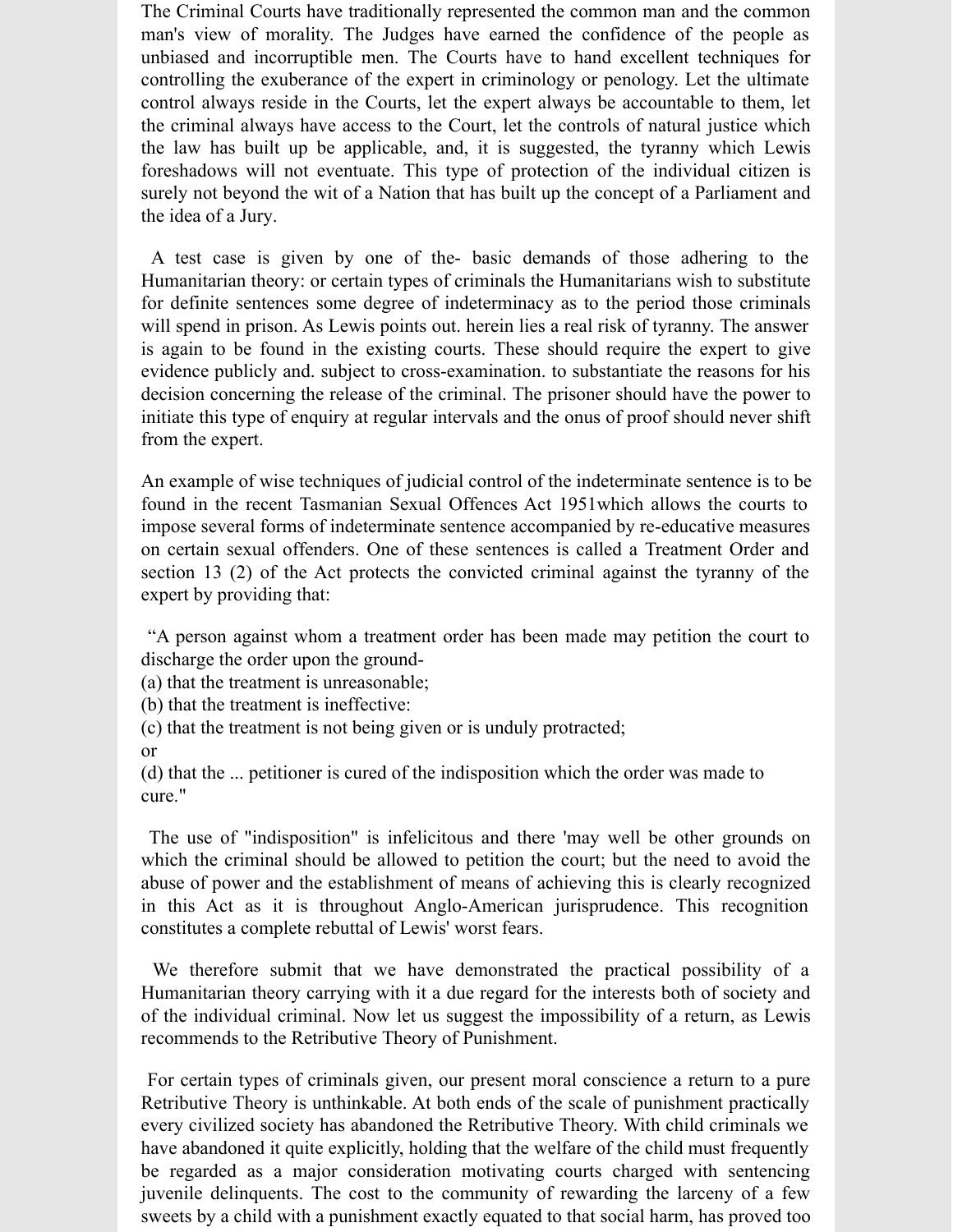The Criminal Courts have traditionally represented the common man and the common man's view of morality. The Judges have earned the confidence of the people as unbiased and incorruptible men. The Courts have to hand excellent techniques for controlling the exuberance of the expert in criminology or penology. Let the ultimate control always reside in the Courts, let the expert always be accountable to them, let the criminal always have access to the Court, let the controls of natural justice which the law has built up be applicable, and, it is suggested, the tyranny which Lewis foreshadows will not eventuate. This type of protection of the individual citizen is surely not beyond the wit of a Nation that has built up the concept of a Parliament and the idea of a Jury.

A test case is given by one of the- basic demands of those adhering to the Humanitarian theory: or certain types of criminals the Humanitarians wish to substitute for definite sentences some degree of indeterminacy as to the period those criminals will spend in prison. As Lewis points out. herein lies a real risk of tyranny. The answer is again to be found in the existing courts. These should require the expert to give evidence publicly and. subject to cross-examination. to substantiate the reasons for his decision concerning the release of the criminal. The prisoner should have the power to initiate this type of enquiry at regular intervals and the onus of proof should never shift from the expert.

An example of wise techniques of judicial control of the indeterminate sentence is to be found in the recent Tasmanian Sexual Offences Act 1951which allows the courts to impose several forms of indeterminate sentence accompanied by re-educative measures on certain sexual offenders. One of these sentences is called a Treatment Order and section 13 (2) of the Act protects the convicted criminal against the tyranny of the expert by providing that:

"A person against whom a treatment order has been made may petition the court to discharge the order upon the ground-

(a) that the treatment is unreasonable;

(b) that the treatment is ineffective:

(c) that the treatment is not being given or is unduly protracted;

or

(d) that the ... petitioner is cured of the indisposition which the order was made to cure."

The use of "indisposition" is infelicitous and there 'may well be other grounds on which the criminal should be allowed to petition the court; but the need to avoid the abuse of power and the establishment of means of achieving this is clearly recognized in this Act as it is throughout Anglo-American jurisprudence. This recognition constitutes a complete rebuttal of Lewis' worst fears.

We therefore submit that we have demonstrated the practical possibility of a Humanitarian theory carrying with it a due regard for the interests both of society and of the individual criminal. Now let us suggest the impossibility of a return, as Lewis recommends to the Retributive Theory of Punishment.

For certain types of criminals given, our present moral conscience a return to a pure Retributive Theory is unthinkable. At both ends of the scale of punishment practically every civilized society has abandoned the Retributive Theory. With child criminals we have abandoned it quite explicitly, holding that the welfare of the child must frequently be regarded as a major consideration motivating courts charged with sentencing juvenile delinquents. The cost to the community of rewarding the larceny of a few sweets by a child with a punishment exactly equated to that social harm, has proved too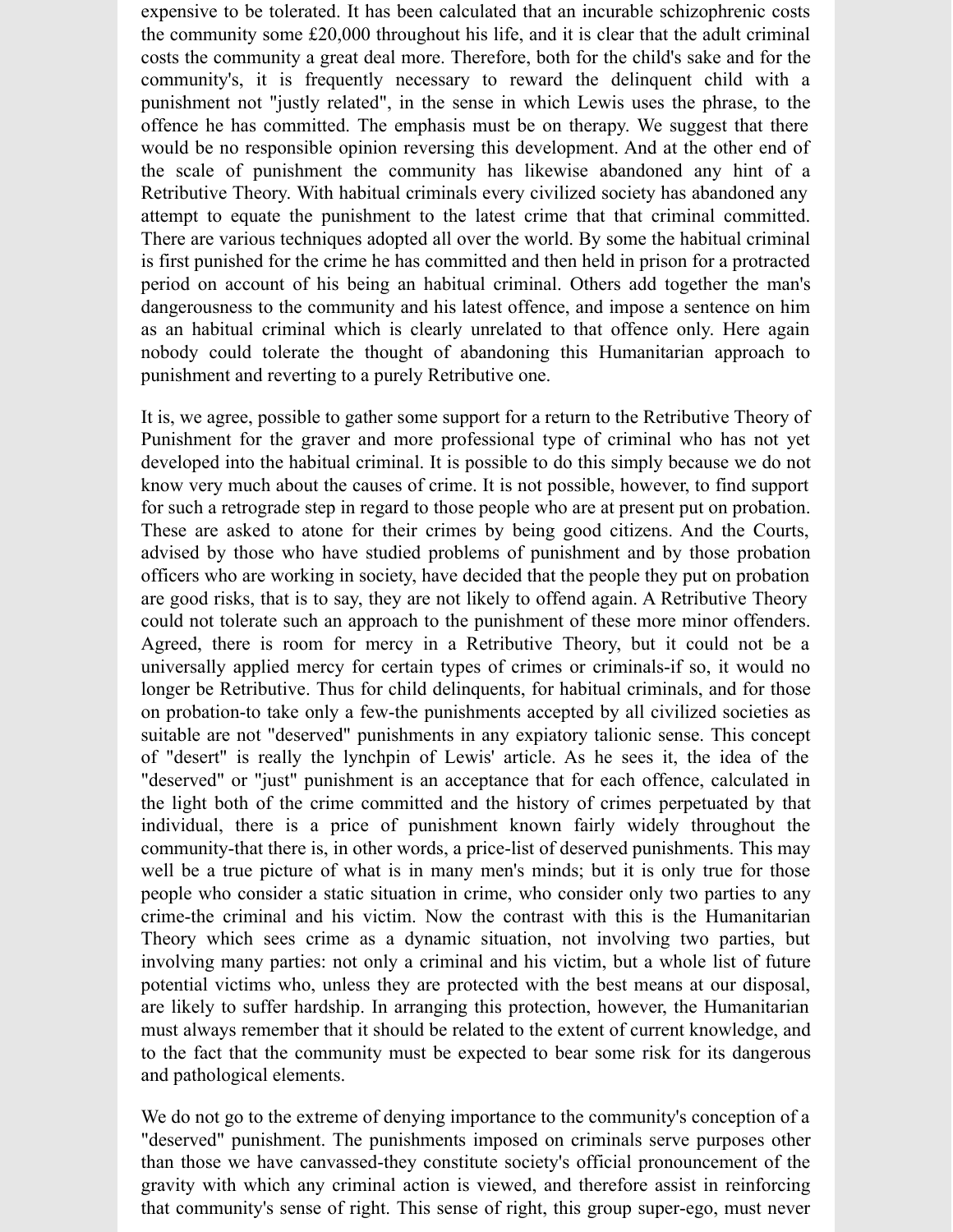expensive to be tolerated. It has been calculated that an incurable schizophrenic costs the community some £20,000 throughout his life, and it is clear that the adult criminal costs the community a great deal more. Therefore, both for the child's sake and for the community's, it is frequently necessary to reward the delinquent child with a punishment not "justly related", in the sense in which Lewis uses the phrase, to the offence he has committed. The emphasis must be on therapy. We suggest that there would be no responsible opinion reversing this development. And at the other end of the scale of punishment the community has likewise abandoned any hint of a Retributive Theory. With habitual criminals every civilized society has abandoned any attempt to equate the punishment to the latest crime that that criminal committed. There are various techniques adopted all over the world. By some the habitual criminal is first punished for the crime he has committed and then held in prison for a protracted period on account of his being an habitual criminal. Others add together the man's dangerousness to the community and his latest offence, and impose a sentence on him as an habitual criminal which is clearly unrelated to that offence only. Here again nobody could tolerate the thought of abandoning this Humanitarian approach to punishment and reverting to a purely Retributive one.

It is, we agree, possible to gather some support for a return to the Retributive Theory of Punishment for the graver and more professional type of criminal who has not yet developed into the habitual criminal. It is possible to do this simply because we do not know very much about the causes of crime. It is not possible, however, to find support for such a retrograde step in regard to those people who are at present put on probation. These are asked to atone for their crimes by being good citizens. And the Courts, advised by those who have studied problems of punishment and by those probation officers who are working in society, have decided that the people they put on probation are good risks, that is to say, they are not likely to offend again. A Retributive Theory could not tolerate such an approach to the punishment of these more minor offenders. Agreed, there is room for mercy in a Retributive Theory, but it could not be a universally applied mercy for certain types of crimes or criminals-if so, it would no longer be Retributive. Thus for child delinquents, for habitual criminals, and for those on probation-to take only a few-the punishments accepted by all civilized societies as suitable are not "deserved" punishments in any expiatory talionic sense. This concept of "desert" is really the lynchpin of Lewis' article. As he sees it, the idea of the "deserved" or "just" punishment is an acceptance that for each offence, calculated in the light both of the crime committed and the history of crimes perpetuated by that individual, there is a price of punishment known fairly widely throughout the community-that there is, in other words, a price-list of deserved punishments. This may well be a true picture of what is in many men's minds; but it is only true for those people who consider a static situation in crime, who consider only two parties to any crime-the criminal and his victim. Now the contrast with this is the Humanitarian Theory which sees crime as a dynamic situation, not involving two parties, but involving many parties: not only a criminal and his victim, but a whole list of future potential victims who, unless they are protected with the best means at our disposal, are likely to suffer hardship. In arranging this protection, however, the Humanitarian must always remember that it should be related to the extent of current knowledge, and to the fact that the community must be expected to bear some risk for its dangerous and pathological elements.

We do not go to the extreme of denying importance to the community's conception of a "deserved" punishment. The punishments imposed on criminals serve purposes other than those we have canvassed-they constitute society's official pronouncement of the gravity with which any criminal action is viewed, and therefore assist in reinforcing that community's sense of right. This sense of right, this group super-ego, must never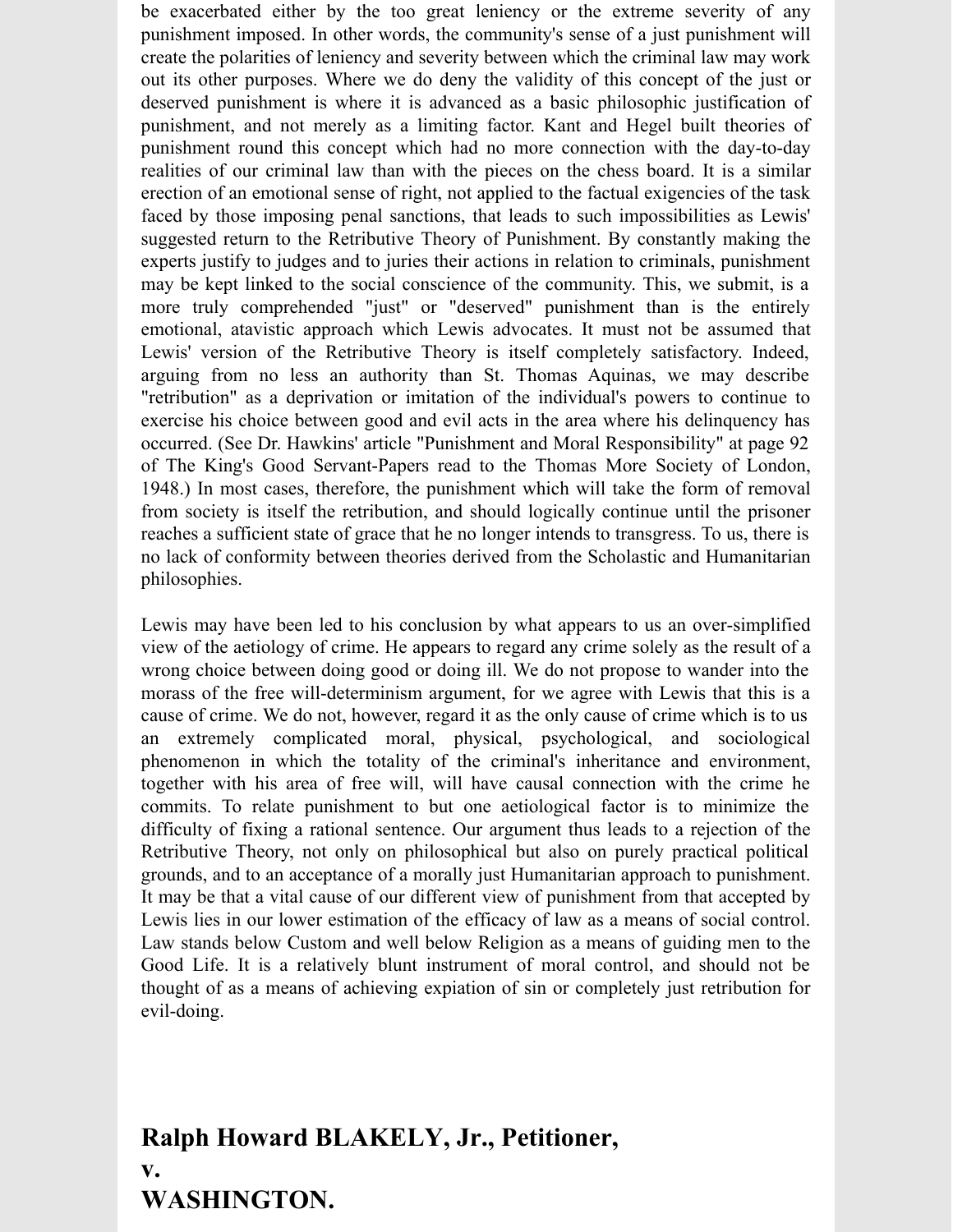be exacerbated either by the too great leniency or the extreme severity of any punishment imposed. In other words, the community's sense of a just punishment will create the polarities of leniency and severity between which the criminal law may work out its other purposes. Where we do deny the validity of this concept of the just or deserved punishment is where it is advanced as a basic philosophic justification of punishment, and not merely as a limiting factor. Kant and Hegel built theories of punishment round this concept which had no more connection with the day-to-day realities of our criminal law than with the pieces on the chess board. It is a similar erection of an emotional sense of right, not applied to the factual exigencies of the task faced by those imposing penal sanctions, that leads to such impossibilities as Lewis' suggested return to the Retributive Theory of Punishment. By constantly making the experts justify to judges and to juries their actions in relation to criminals, punishment may be kept linked to the social conscience of the community. This, we submit, is a more truly comprehended "just" or "deserved" punishment than is the entirely emotional, atavistic approach which Lewis advocates. It must not be assumed that Lewis' version of the Retributive Theory is itself completely satisfactory. Indeed, arguing from no less an authority than St. Thomas Aquinas, we may describe "retribution" as a deprivation or imitation of the individual's powers to continue to exercise his choice between good and evil acts in the area where his delinquency has occurred. (See Dr. Hawkins' article "Punishment and Moral Responsibility" at page 92 of The King's Good Servant-Papers read to the Thomas More Society of London, 1948.) In most cases, therefore, the punishment which will take the form of removal from society is itself the retribution, and should logically continue until the prisoner reaches a sufficient state of grace that he no longer intends to transgress. To us, there is no lack of conformity between theories derived from the Scholastic and Humanitarian philosophies.

Lewis may have been led to his conclusion by what appears to us an over-simplified view of the aetiology of crime. He appears to regard any crime solely as the result of a wrong choice between doing good or doing ill. We do not propose to wander into the morass of the free will-determinism argument, for we agree with Lewis that this is a cause of crime. We do not, however, regard it as the only cause of crime which is to us an extremely complicated moral, physical, psychological, and sociological phenomenon in which the totality of the criminal's inheritance and environment, together with his area of free will, will have causal connection with the crime he commits. To relate punishment to but one aetiological factor is to minimize the difficulty of fixing a rational sentence. Our argument thus leads to a rejection of the Retributive Theory, not only on philosophical but also on purely practical political grounds, and to an acceptance of a morally just Humanitarian approach to punishment. It may be that a vital cause of our different view of punishment from that accepted by Lewis lies in our lower estimation of the efficacy of law as a means of social control. Law stands below Custom and well below Religion as a means of guiding men to the Good Life. It is a relatively blunt instrument of moral control, and should not be thought of as a means of achieving expiation of sin or completely just retribution for evil-doing.

# **Ralph Howard BLAKELY, Jr., Petitioner, v. WASHINGTON.**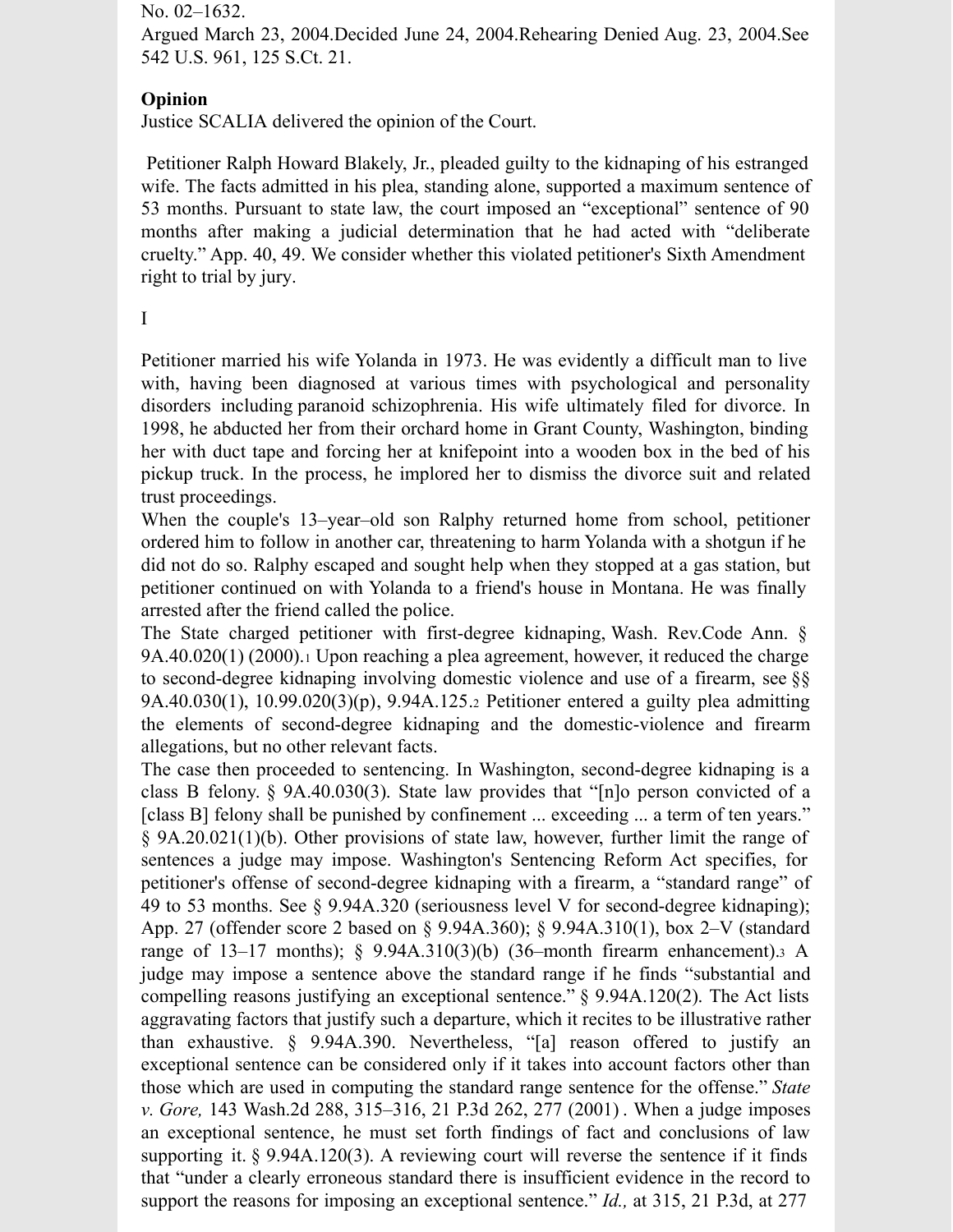#### No. 02–1632.

Argued March 23, 2004.Decided June 24, 2004.Rehearing Denied Aug. 23, 2004.See 542 U.S. 961, 125 S.Ct. 21.

# **Opinion**

Justice [SCALIA](https://1.next.westlaw.com/Link/Document/FullText?findType=h&pubNum=176284&cite=0254763301&originatingDoc=I81e6dedc9c9d11d9bdd1cfdd544ca3a4&refType=RQ&originationContext=document&transitionType=DocumentItem&ppcid=0fb284f28bb24370944db6eeba67a5bb&contextData=(sc.UserEnteredCitation)&analyticGuid=I81e6dedc9c9d11d9bdd1cfdd544ca3a4) delivered the opinion of the Court.

Petitioner Ralph Howard Blakely, Jr., pleaded guilty to the kidnaping of his estranged wife. The facts admitted in his plea, standing alone, supported a maximum sentence of 53 months. Pursuant to state law, the court imposed an "exceptional" sentence of 90 months after making a judicial determination that he had acted with "deliberate cruelty." App. 40, 49. We consider whether this violated petitioner's Sixth Amendment right to trial by jury.

# I

Petitioner married his wife Yolanda in 1973. He was evidently a difficult man to live with, having been diagnosed at various times with psychological and personality disorders including paranoid [schizophrenia](https://1.next.westlaw.com/Link/Document/FullText?entityType=disease&entityId=Ic7562cd2475411db9765f9243f53508a&originationContext=document&transitionType=DocumentItem&contextData=(sc.Default)&ppcid=0fb284f28bb24370944db6eeba67a5bb). His wife ultimately filed for divorce. In 1998, he abducted her from their orchard home in Grant County, Washington, binding her with duct tape and forcing her at knifepoint into a wooden box in the bed of his pickup truck. In the process, he implored her to dismiss the divorce suit and related trust proceedings.

When the couple's 13–year–old son Ralphy returned home from school, petitioner ordered him to follow in another car, threatening to harm Yolanda with a shotgun if he did not do so. Ralphy escaped and sought help when they stopped at a gas station, but petitioner continued on with Yolanda to a friend's house in Montana. He was finally arrested after the friend called the police.

The State charged petitioner with first-degree kidnaping, Wash. Rev.Code Ann. § [9A.40.020\(1\)](https://1.next.westlaw.com/Link/Document/FullText?findType=L&pubNum=1000259&cite=WAST9A.40.020&originatingDoc=I81e6dedc9c9d11d9bdd1cfdd544ca3a4&refType=SP&originationContext=document&transitionType=DocumentItem&ppcid=0fb284f28bb24370944db6eeba67a5bb&contextData=(sc.UserEnteredCitation)#co_pp_f1c50000821b0) (2000).[1](https://1.next.westlaw.com/Document/I81e6dedc9c9d11d9bdd1cfdd544ca3a4/View/FullText.html?transitionType=UniqueDocItem&contextData=(sc.Default)&userEnteredCitation=542+u.s.+296#co_footnote_B00212004622625) Upon reaching a plea agreement, however, it reduced the charge to second-degree kidnaping involving domestic violence and use of a firearm, see §§ 9A.40.030(1), [10.99.020\(3\)\(p\),](https://1.next.westlaw.com/Link/Document/FullText?findType=L&pubNum=1000259&cite=WAST9A.40.030&originatingDoc=I81e6dedc9c9d11d9bdd1cfdd544ca3a4&refType=SP&originationContext=document&transitionType=DocumentItem&ppcid=0fb284f28bb24370944db6eeba67a5bb&contextData=(sc.UserEnteredCitation)#co_pp_f1c50000821b0) [9.94A.125](https://1.next.westlaw.com/Link/Document/FullText?findType=L&pubNum=1000259&cite=WAST9.94A.125&originatingDoc=I81e6dedc9c9d11d9bdd1cfdd544ca3a4&refType=LQ&originationContext=document&transitionType=DocumentItem&ppcid=0fb284f28bb24370944db6eeba67a5bb&contextData=(sc.UserEnteredCitation)).[2](https://1.next.westlaw.com/Document/I81e6dedc9c9d11d9bdd1cfdd544ca3a4/View/FullText.html?transitionType=UniqueDocItem&contextData=(sc.Default)&userEnteredCitation=542+u.s.+296#co_footnote_B00322004622625) Petitioner entered a guilty plea admitting the elements of second-degree kidnaping and the domestic-violence and firearm allegations, but no other relevant facts.

The case then proceeded to sentencing. In Washington, second-degree kidnaping is a class B felony. § [9A.40.030\(3\)](https://1.next.westlaw.com/Link/Document/FullText?findType=L&pubNum=1000259&cite=WAST9A.40.030&originatingDoc=I81e6dedc9c9d11d9bdd1cfdd544ca3a4&refType=SP&originationContext=document&transitionType=DocumentItem&ppcid=0fb284f28bb24370944db6eeba67a5bb&contextData=(sc.UserEnteredCitation)#co_pp_d08f0000f5f67). State law provides that "[n]o person convicted of a [class B] felony shall be punished by confinement ... exceeding ... a term of ten years." § 9A.20.021(1)(b). Other provisions of state law, however, further limit the range of sentences a judge may impose. Washington's Sentencing Reform Act specifies, for petitioner's offense of second-degree kidnaping with a firearm, a "standard range" of 49 to 53 months. See § 9.94A.320 (seriousness level V for second-degree kidnaping); App. 27 (offender score 2 based on § 9.94A.360); § 9.94A.310(1), box 2–V (standard range of  $13-17$  $13-17$  $13-17$  months); §  $9.94A.310(3)(b)$  (36-month firearm enhancement). A judge may impose a sentence above the standard range if he finds "substantial and compelling reasons justifying an exceptional sentence." § [9.94A.120\(2\)](https://1.next.westlaw.com/Link/Document/FullText?findType=L&pubNum=1000259&cite=WAST9.94A.120&originatingDoc=I81e6dedc9c9d11d9bdd1cfdd544ca3a4&refType=LQ&originationContext=document&transitionType=DocumentItem&ppcid=0fb284f28bb24370944db6eeba67a5bb&contextData=(sc.UserEnteredCitation)). The Act lists aggravating factors that justify such a departure, which it recites to be illustrative rather than exhaustive. § 9.94A.390. Nevertheless, "[a] reason offered to justify an exceptional sentence can be considered only if it takes into account factors other than those which are used in [computing](https://1.next.westlaw.com/Link/Document/FullText?findType=Y&serNum=2001244855&pubNum=0004645&originatingDoc=I81e6dedc9c9d11d9bdd1cfdd544ca3a4&refType=RP&fi=co_pp_sp_4645_277&originationContext=document&transitionType=DocumentItem&ppcid=0fb284f28bb24370944db6eeba67a5bb&contextData=(sc.UserEnteredCitation)#co_pp_sp_4645_277) the standard range sentence for the offense." *State v. Gore,* 143 Wash.2d 288, [315–316,](https://1.next.westlaw.com/Link/Document/FullText?findType=Y&serNum=2001244855&pubNum=0004645&originatingDoc=I81e6dedc9c9d11d9bdd1cfdd544ca3a4&refType=RP&fi=co_pp_sp_4645_277&originationContext=document&transitionType=DocumentItem&ppcid=0fb284f28bb24370944db6eeba67a5bb&contextData=(sc.UserEnteredCitation)#co_pp_sp_4645_277) 21 P.3d 262, 277 (2001) . When a judge imposes an exceptional sentence, he must set forth findings of fact and conclusions of law supporting it.  $\S$  [9.94A.120\(3\)](https://1.next.westlaw.com/Link/Document/FullText?findType=L&pubNum=1000259&cite=WAST9.94A.120&originatingDoc=I81e6dedc9c9d11d9bdd1cfdd544ca3a4&refType=LQ&originationContext=document&transitionType=DocumentItem&ppcid=0fb284f28bb24370944db6eeba67a5bb&contextData=(sc.UserEnteredCitation)). A reviewing court will reverse the sentence if it finds that "under a clearly erroneous standard there is insufficient evidence in the record to support the reasons for imposing an exceptional sentence." *[Id.,](https://1.next.westlaw.com/Link/Document/FullText?findType=Y&serNum=2001244855&pubNum=0004645&originatingDoc=I81e6dedc9c9d11d9bdd1cfdd544ca3a4&refType=RP&fi=co_pp_sp_4645_277&originationContext=document&transitionType=DocumentItem&ppcid=0fb284f28bb24370944db6eeba67a5bb&contextData=(sc.UserEnteredCitation)#co_pp_sp_4645_277)* at 315, 21 [P.3d,](https://1.next.westlaw.com/Link/Document/FullText?findType=Y&serNum=2001244855&pubNum=0004645&originatingDoc=I81e6dedc9c9d11d9bdd1cfdd544ca3a4&refType=RP&fi=co_pp_sp_4645_277&originationContext=document&transitionType=DocumentItem&ppcid=0fb284f28bb24370944db6eeba67a5bb&contextData=(sc.UserEnteredCitation)#co_pp_sp_4645_277) at 277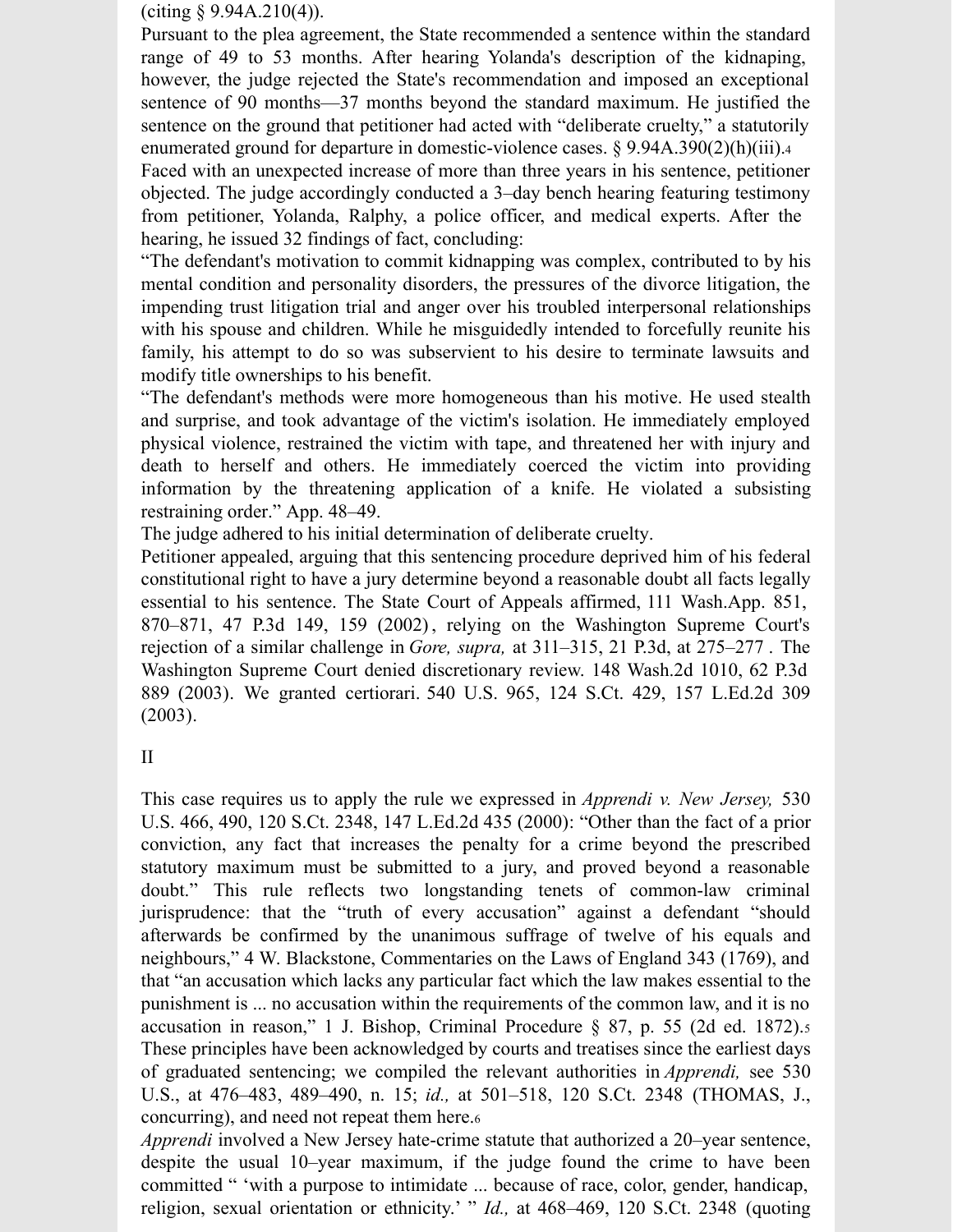$(citing § 9.94A.210(4)).$  $(citing § 9.94A.210(4)).$  $(citing § 9.94A.210(4)).$ 

Pursuant to the plea agreement, the State recommended a sentence within the standard range of 49 to 53 months. After hearing Yolanda's description of the kidnaping, however, the judge rejected the State's recommendation and imposed an exceptional sentence of 90 months—37 months beyond the standard maximum. He justified the sentence on the ground that petitioner had acted with "deliberate cruelty," a statutorily enumerated ground for departure in domestic-violence cases. § 9.94A.390(2)(h)(iii).[4](https://1.next.westlaw.com/Document/I81e6dedc9c9d11d9bdd1cfdd544ca3a4/View/FullText.html?transitionType=UniqueDocItem&contextData=(sc.Default)&userEnteredCitation=542+u.s.+296#co_footnote_B00542004622625) Faced with an unexpected increase of more than three years in his sentence, petitioner objected. The judge accordingly conducted a 3–day bench hearing featuring testimony from petitioner, Yolanda, Ralphy, a police officer, and medical experts. After the

hearing, he issued 32 findings of fact, concluding:

"The defendant's motivation to commit kidnapping was complex, contributed to by his mental condition and personality disorders, the pressures of the divorce litigation, the impending trust litigation trial and anger over his troubled interpersonal relationships with his spouse and children. While he misguidedly intended to forcefully reunite his family, his attempt to do so was subservient to his desire to terminate lawsuits and modify title ownerships to his benefit.

"The defendant's methods were more homogeneous than his motive. He used stealth and surprise, and took advantage of the victim's isolation. He immediately employed physical violence, restrained the victim with tape, and threatened her with injury and death to herself and others. He immediately coerced the victim into providing information by the threatening application of a knife. He violated a subsisting restraining order." App. 48–49.

The judge adhered to his initial determination of deliberate cruelty.

Petitioner appealed, arguing that this sentencing procedure deprived him of his federal constitutional right to have a jury determine beyond a reasonable doubt all facts legally essential to his sentence. The State Court of Appeals affirmed, 111 Wash.App. 851, 870–871, 47 P.3d 149, 159 (2002), relying on the [Washington](https://1.next.westlaw.com/Link/Document/FullText?findType=Y&serNum=2002324014&pubNum=0004645&originatingDoc=I81e6dedc9c9d11d9bdd1cfdd544ca3a4&refType=RP&fi=co_pp_sp_4645_159&originationContext=document&transitionType=DocumentItem&ppcid=0fb284f28bb24370944db6eeba67a5bb&contextData=(sc.UserEnteredCitation)#co_pp_sp_4645_159) Supreme Court's rejection of a similar challenge in *Gore, [supra,](https://1.next.westlaw.com/Link/Document/FullText?findType=Y&serNum=2001244855&pubNum=0004645&originatingDoc=I81e6dedc9c9d11d9bdd1cfdd544ca3a4&refType=RP&fi=co_pp_sp_4645_275&originationContext=document&transitionType=DocumentItem&ppcid=0fb284f28bb24370944db6eeba67a5bb&contextData=(sc.UserEnteredCitation)#co_pp_sp_4645_275)* at [311–315,](https://1.next.westlaw.com/Link/Document/FullText?findType=Y&serNum=2001244855&pubNum=0004645&originatingDoc=I81e6dedc9c9d11d9bdd1cfdd544ca3a4&refType=RP&fi=co_pp_sp_4645_275&originationContext=document&transitionType=DocumentItem&ppcid=0fb284f28bb24370944db6eeba67a5bb&contextData=(sc.UserEnteredCitation)#co_pp_sp_4645_275) 21 P.3d, at 275–277 . The Washington Supreme Court denied [discretionary](https://1.next.westlaw.com/Link/Document/FullText?findType=Y&pubNum=0004645&cite=62PC3D889&originatingDoc=I81e6dedc9c9d11d9bdd1cfdd544ca3a4&refType=RP&originationContext=document&transitionType=DocumentItem&ppcid=0fb284f28bb24370944db6eeba67a5bb&contextData=(sc.UserEnteredCitation)) review. 148 Wash.2d 1010, 62 P.3d 889 (2003). We granted [certiorari.](https://1.next.westlaw.com/Link/Document/FullText?findType=Y&pubNum=0000708&cite=124SCT429&originatingDoc=I81e6dedc9c9d11d9bdd1cfdd544ca3a4&refType=RP&originationContext=document&transitionType=DocumentItem&ppcid=0fb284f28bb24370944db6eeba67a5bb&contextData=(sc.UserEnteredCitation)) 540 U.S. 965, 124 S.Ct. 429, 157 L.Ed.2d 309 (2003).

# II

This case requires us to apply the rule we [expressed](https://1.next.westlaw.com/Link/Document/FullText?findType=Y&serNum=2000387238&pubNum=0000708&originatingDoc=I81e6dedc9c9d11d9bdd1cfdd544ca3a4&refType=RP&originationContext=document&transitionType=DocumentItem&ppcid=0fb284f28bb24370944db6eeba67a5bb&contextData=(sc.UserEnteredCitation)) in *[Apprendi](https://1.next.westlaw.com/Link/Document/FullText?findType=Y&serNum=2000387238&pubNum=0000708&originatingDoc=I81e6dedc9c9d11d9bdd1cfdd544ca3a4&refType=RP&originationContext=document&transitionType=DocumentItem&ppcid=0fb284f28bb24370944db6eeba67a5bb&contextData=(sc.UserEnteredCitation)) v. New Jersey,* 530 U.S. 466, 490, 120 S.Ct. 2348, 147 L.Ed.2d 435 (2000): "Other than the fact of a prior conviction, any fact that increases the penalty for a crime beyond the prescribed statutory maximum must be submitted to a jury, and proved beyond a reasonable doubt." This rule reflects two longstanding tenets of common-law criminal jurisprudence: that the "truth of every accusation" against a defendant "should afterwards be confirmed by the unanimous suffrage of twelve of his equals and neighbours," 4 W. Blackstone, Commentaries on the Laws of England 343 (1769), and that "an accusation which lacks any particular fact which the law makes essential to the punishment is ... no accusation within the requirements of the common law, and it is no accusation in reason," 1 J. Bishop, Criminal Procedure § 87, p. 55 (2d ed. 1872).[5](https://1.next.westlaw.com/Document/I81e6dedc9c9d11d9bdd1cfdd544ca3a4/View/FullText.html?transitionType=UniqueDocItem&contextData=(sc.Default)&userEnteredCitation=542+u.s.+296#co_footnote_B00652004622625) These principles have been acknowledged by courts and treatises since the earliest days of graduated [sentencing;](https://1.next.westlaw.com/Link/Document/FullText?findType=Y&serNum=2000387238&pubNum=0000780&originatingDoc=I81e6dedc9c9d11d9bdd1cfdd544ca3a4&refType=RP&fi=co_pp_sp_780_476&originationContext=document&transitionType=DocumentItem&ppcid=0fb284f28bb24370944db6eeba67a5bb&contextData=(sc.UserEnteredCitation)#co_pp_sp_780_476) we compiled the relevant authorities in *[Apprendi,](https://1.next.westlaw.com/Link/Document/FullText?findType=Y&serNum=2000387238&pubNum=0000780&originatingDoc=I81e6dedc9c9d11d9bdd1cfdd544ca3a4&refType=RP&fi=co_pp_sp_780_476&originationContext=document&transitionType=DocumentItem&ppcid=0fb284f28bb24370944db6eeba67a5bb&contextData=(sc.UserEnteredCitation)#co_pp_sp_780_476)* see 530 U.S., at 476–483, 489–490, n. 15; *[id.,](https://1.next.westlaw.com/Link/Document/FullText?findType=Y&serNum=2000387238&pubNum=0000708&originatingDoc=I81e6dedc9c9d11d9bdd1cfdd544ca3a4&refType=RP&originationContext=document&transitionType=DocumentItem&ppcid=0fb284f28bb24370944db6eeba67a5bb&contextData=(sc.UserEnteredCitation))* at [501–518,](https://1.next.westlaw.com/Link/Document/FullText?findType=Y&serNum=2000387238&pubNum=0000708&originatingDoc=I81e6dedc9c9d11d9bdd1cfdd544ca3a4&refType=RP&originationContext=document&transitionType=DocumentItem&ppcid=0fb284f28bb24370944db6eeba67a5bb&contextData=(sc.UserEnteredCitation)) 120 S.Ct. 2348 (THOMAS, J., concurring), and need not repeat them here.[6](https://1.next.westlaw.com/Document/I81e6dedc9c9d11d9bdd1cfdd544ca3a4/View/FullText.html?transitionType=UniqueDocItem&contextData=(sc.Default)&userEnteredCitation=542+u.s.+296#co_footnote_B00762004622625)

*Apprendi* involved a New Jersey hate-crime statute that authorized a 20–year sentence, despite the usual 10–year maximum, if the judge found the crime to have been committed " 'with a purpose to intimidate ... because of race, color, gender, handicap, religion, sexual orientation or ethnicity.' " *[Id.,](https://1.next.westlaw.com/Link/Document/FullText?findType=Y&serNum=2000387238&pubNum=0000708&originatingDoc=I81e6dedc9c9d11d9bdd1cfdd544ca3a4&refType=RP&originationContext=document&transitionType=DocumentItem&ppcid=0fb284f28bb24370944db6eeba67a5bb&contextData=(sc.UserEnteredCitation))* at [468–469,](https://1.next.westlaw.com/Link/Document/FullText?findType=Y&serNum=2000387238&pubNum=0000708&originatingDoc=I81e6dedc9c9d11d9bdd1cfdd544ca3a4&refType=RP&originationContext=document&transitionType=DocumentItem&ppcid=0fb284f28bb24370944db6eeba67a5bb&contextData=(sc.UserEnteredCitation)) 120 S.Ct. 2348 (quoting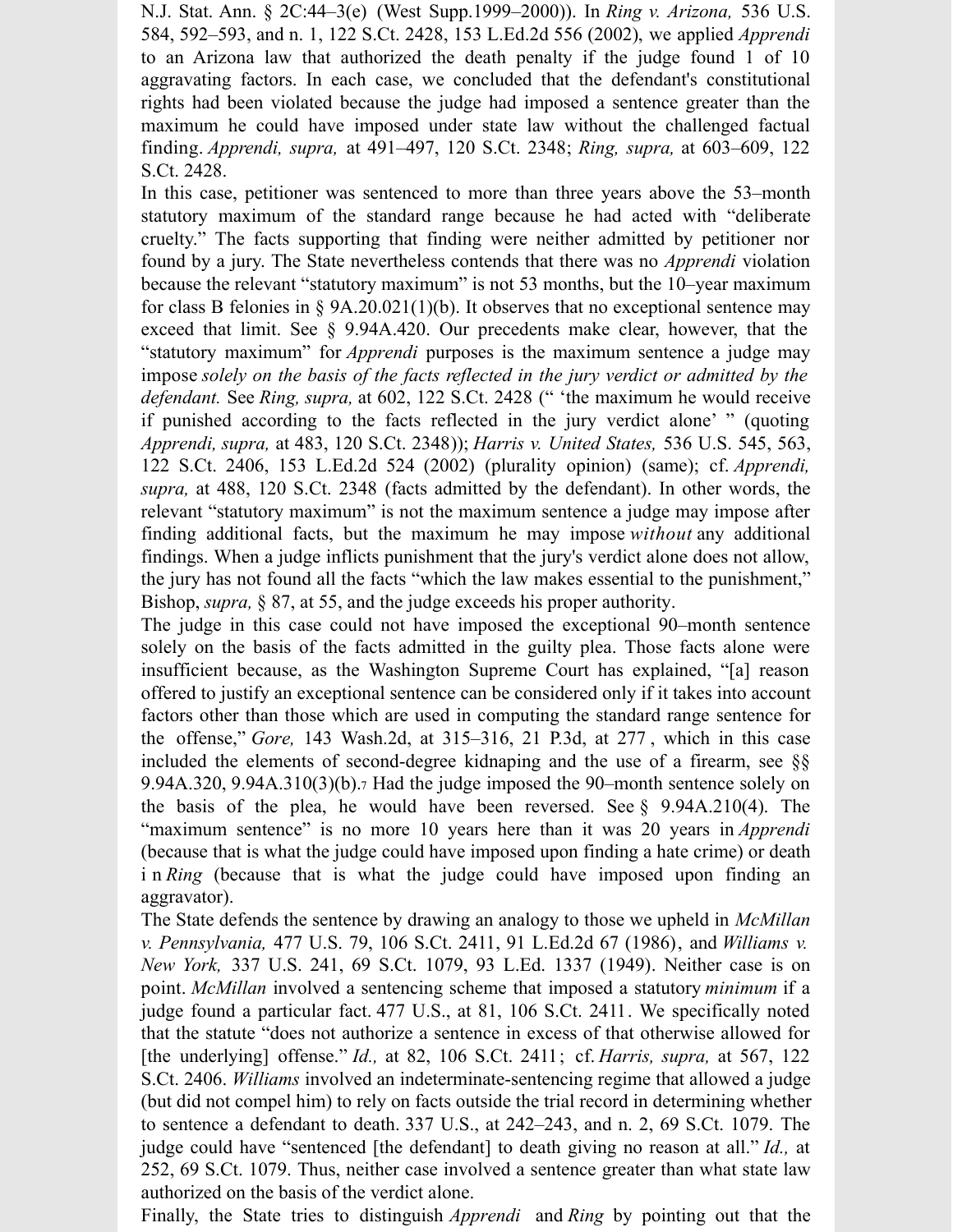N.J. Stat. Ann. § [2C:44–3\(e\)](https://1.next.westlaw.com/Link/Document/FullText?findType=L&pubNum=1000045&cite=NJST2C%3a44-3&originatingDoc=I81e6dedc9c9d11d9bdd1cfdd544ca3a4&refType=LQ&originationContext=document&transitionType=DocumentItem&ppcid=0fb284f28bb24370944db6eeba67a5bb&contextData=(sc.UserEnteredCitation)) (West [Supp.1999–2000\)\).](https://1.next.westlaw.com/Link/Document/FullText?findType=Y&serNum=2002390142&pubNum=0000708&originatingDoc=I81e6dedc9c9d11d9bdd1cfdd544ca3a4&refType=RP&originationContext=document&transitionType=DocumentItem&ppcid=0fb284f28bb24370944db6eeba67a5bb&contextData=(sc.UserEnteredCitation)) In *Ring v. [Arizona,](https://1.next.westlaw.com/Link/Document/FullText?findType=Y&serNum=2002390142&pubNum=0000708&originatingDoc=I81e6dedc9c9d11d9bdd1cfdd544ca3a4&refType=RP&originationContext=document&transitionType=DocumentItem&ppcid=0fb284f28bb24370944db6eeba67a5bb&contextData=(sc.UserEnteredCitation))* 536 U.S. 584, 592–593, and n. 1, 122 S.Ct. 2428, 153 L.Ed.2d 556 (2002), we applied *Apprendi* to an Arizona law that authorized the death penalty if the judge found 1 of 10 aggravating factors. In each case, we concluded that the defendant's constitutional rights had been violated because the judge had imposed a sentence greater than the maximum he could have imposed under state law without the challenged factual finding. *[Apprendi,](https://1.next.westlaw.com/Link/Document/FullText?findType=Y&serNum=2000387238&pubNum=0000708&originatingDoc=I81e6dedc9c9d11d9bdd1cfdd544ca3a4&refType=RP&originationContext=document&transitionType=DocumentItem&ppcid=0fb284f28bb24370944db6eeba67a5bb&contextData=(sc.UserEnteredCitation)) supra,* at [491–497,](https://1.next.westlaw.com/Link/Document/FullText?findType=Y&serNum=2000387238&pubNum=0000708&originatingDoc=I81e6dedc9c9d11d9bdd1cfdd544ca3a4&refType=RP&originationContext=document&transitionType=DocumentItem&ppcid=0fb284f28bb24370944db6eeba67a5bb&contextData=(sc.UserEnteredCitation)) 120 S.Ct. 2348; *Ring, [supra,](https://1.next.westlaw.com/Link/Document/FullText?findType=Y&serNum=2002390142&pubNum=0000708&originatingDoc=I81e6dedc9c9d11d9bdd1cfdd544ca3a4&refType=RP&originationContext=document&transitionType=DocumentItem&ppcid=0fb284f28bb24370944db6eeba67a5bb&contextData=(sc.UserEnteredCitation))* at 603–609, 122 S.Ct. 2428.

In this case, petitioner was sentenced to more than three years above the 53–month statutory maximum of the standard range because he had acted with "deliberate cruelty." The facts supporting that finding were neither admitted by petitioner nor found by a jury. The State nevertheless contends that there was no *Apprendi* violation because the relevant "statutory maximum" is not 53 months, but the 10–year maximum for class B felonies in  $\S$  9A.20.021(1)(b). It observes that no exceptional sentence may exceed that limit. See § 9.94A.420. Our precedents make clear, however, that the "statutory maximum" for *Apprendi* purposes is the maximum sentence a judge may impose *solely on the basis of the facts reflected in the jury verdict or admitted by the defendant.* See *Ring, [supra,](https://1.next.westlaw.com/Link/Document/FullText?findType=Y&serNum=2002390142&pubNum=0000708&originatingDoc=I81e6dedc9c9d11d9bdd1cfdd544ca3a4&refType=RP&originationContext=document&transitionType=DocumentItem&ppcid=0fb284f28bb24370944db6eeba67a5bb&contextData=(sc.UserEnteredCitation))* at 602, 122 [S.Ct.](https://1.next.westlaw.com/Link/Document/FullText?findType=Y&serNum=2002390142&pubNum=0000708&originatingDoc=I81e6dedc9c9d11d9bdd1cfdd544ca3a4&refType=RP&originationContext=document&transitionType=DocumentItem&ppcid=0fb284f28bb24370944db6eeba67a5bb&contextData=(sc.UserEnteredCitation)) 2428 (" 'the maximum he would receive if punished according to the facts reflected in the jury verdict alone' " (quoting *[Apprendi,](https://1.next.westlaw.com/Link/Document/FullText?findType=Y&serNum=2002390152&pubNum=0000708&originatingDoc=I81e6dedc9c9d11d9bdd1cfdd544ca3a4&refType=RP&originationContext=document&transitionType=DocumentItem&ppcid=0fb284f28bb24370944db6eeba67a5bb&contextData=(sc.UserEnteredCitation)) supra,* at 483, 120 [S.Ct.](https://1.next.westlaw.com/Link/Document/FullText?findType=Y&serNum=2000387238&pubNum=0000708&originatingDoc=I81e6dedc9c9d11d9bdd1cfdd544ca3a4&refType=RP&originationContext=document&transitionType=DocumentItem&ppcid=0fb284f28bb24370944db6eeba67a5bb&contextData=(sc.UserEnteredCitation)) 2348)); *Harris v. [United](https://1.next.westlaw.com/Link/Document/FullText?findType=Y&serNum=2002390152&pubNum=0000708&originatingDoc=I81e6dedc9c9d11d9bdd1cfdd544ca3a4&refType=RP&originationContext=document&transitionType=DocumentItem&ppcid=0fb284f28bb24370944db6eeba67a5bb&contextData=(sc.UserEnteredCitation)) States,* 536 U.S. 545, 563, 122 S.Ct. 2406, 153 L.Ed.2d 524 (2002) (plurality opinion) (same); cf. *Apprendi, supra,* at 488, 120 [S.Ct.](https://1.next.westlaw.com/Link/Document/FullText?findType=Y&serNum=2000387238&pubNum=0000708&originatingDoc=I81e6dedc9c9d11d9bdd1cfdd544ca3a4&refType=RP&originationContext=document&transitionType=DocumentItem&ppcid=0fb284f28bb24370944db6eeba67a5bb&contextData=(sc.UserEnteredCitation)) 2348 (facts admitted by the [defendant\).](https://1.next.westlaw.com/Link/Document/FullText?findType=Y&serNum=2000387238&pubNum=0000708&originatingDoc=I81e6dedc9c9d11d9bdd1cfdd544ca3a4&refType=RP&originationContext=document&transitionType=DocumentItem&ppcid=0fb284f28bb24370944db6eeba67a5bb&contextData=(sc.UserEnteredCitation)) In other words, the relevant "statutory maximum" is not the maximum sentence a judge may impose after finding additional facts, but the maximum he may impose *without* any additional findings. When a judge inflicts punishment that the jury's verdict alone does not allow, the jury has not found all the facts "which the law makes essential to the punishment," Bishop, *supra,* § 87, at 55, and the judge exceeds his proper authority.

The judge in this case could not have imposed the exceptional 90–month sentence solely on the basis of the facts admitted in the guilty plea. Those facts alone were insufficient because, as the Washington Supreme Court has explained, "[a] reason offered to justify an exceptional sentence can be considered only if it takes into account factors other than those which are used in computing the standard range sentence for the offense," *[Gore,](https://1.next.westlaw.com/Link/Document/FullText?findType=Y&serNum=2001244855&pubNum=0004645&originatingDoc=I81e6dedc9c9d11d9bdd1cfdd544ca3a4&refType=RP&fi=co_pp_sp_4645_277&originationContext=document&transitionType=DocumentItem&ppcid=0fb284f28bb24370944db6eeba67a5bb&contextData=(sc.UserEnteredCitation)#co_pp_sp_4645_277)* 143 Wash.2d, at [315–316,](https://1.next.westlaw.com/Link/Document/FullText?findType=Y&serNum=2001244855&pubNum=0004645&originatingDoc=I81e6dedc9c9d11d9bdd1cfdd544ca3a4&refType=RP&fi=co_pp_sp_4645_277&originationContext=document&transitionType=DocumentItem&ppcid=0fb284f28bb24370944db6eeba67a5bb&contextData=(sc.UserEnteredCitation)#co_pp_sp_4645_277) 21 P.3d, at 277 , which in this case included the elements of second-degree kidnaping and the use of a firearm, see §§ 9.94A.320, 9.94A.310(3)(b).[7](https://1.next.westlaw.com/Document/I81e6dedc9c9d11d9bdd1cfdd544ca3a4/View/FullText.html?transitionType=UniqueDocItem&contextData=(sc.Default)&userEnteredCitation=542+u.s.+296#co_footnote_B00872004622625) Had the judge imposed the 90–month sentence solely on the basis of the plea, he would have been reversed. See  $\S$  [9.94A.210\(4\).](https://1.next.westlaw.com/Link/Document/FullText?findType=L&pubNum=1000259&cite=WAST9.94A.210&originatingDoc=I81e6dedc9c9d11d9bdd1cfdd544ca3a4&refType=LQ&originationContext=document&transitionType=DocumentItem&ppcid=0fb284f28bb24370944db6eeba67a5bb&contextData=(sc.UserEnteredCitation)) The "maximum sentence" is no more 10 years here than it was 20 years in *Apprendi* (because that is what the judge could have imposed upon finding a hate crime) or death i n *Ring* (because that is what the judge could have imposed upon finding an aggravator).

The State defends the sentence by drawing an analogy to those we upheld in *McMillan v. [Pennsylvania,](https://1.next.westlaw.com/Link/Document/FullText?findType=Y&serNum=1949119549&pubNum=0000708&originatingDoc=I81e6dedc9c9d11d9bdd1cfdd544ca3a4&refType=RP&originationContext=document&transitionType=DocumentItem&ppcid=0fb284f28bb24370944db6eeba67a5bb&contextData=(sc.UserEnteredCitation))* 477 U.S. 79, 106 S.Ct. 2411, 91 [L.Ed.2d](https://1.next.westlaw.com/Link/Document/FullText?findType=Y&serNum=1986131476&pubNum=0000708&originatingDoc=I81e6dedc9c9d11d9bdd1cfdd544ca3a4&refType=RP&originationContext=document&transitionType=DocumentItem&ppcid=0fb284f28bb24370944db6eeba67a5bb&contextData=(sc.UserEnteredCitation)) 67 (1986), and *Williams v. New York,* 337 U.S. 241, 69 S.Ct. 1079, 93 L.Ed. 1337 [\(1949\)](https://1.next.westlaw.com/Link/Document/FullText?findType=Y&serNum=1949119549&pubNum=0000708&originatingDoc=I81e6dedc9c9d11d9bdd1cfdd544ca3a4&refType=RP&originationContext=document&transitionType=DocumentItem&ppcid=0fb284f28bb24370944db6eeba67a5bb&contextData=(sc.UserEnteredCitation)). Neither case is on point. *McMillan* involved a sentencing scheme that imposed a statutory *minimum* if a judge found a particular fact. 477 [U.S.,](https://1.next.westlaw.com/Link/Document/FullText?findType=Y&serNum=1986131476&pubNum=0000708&originatingDoc=I81e6dedc9c9d11d9bdd1cfdd544ca3a4&refType=RP&originationContext=document&transitionType=DocumentItem&ppcid=0fb284f28bb24370944db6eeba67a5bb&contextData=(sc.UserEnteredCitation)) at 81, 106 S.Ct. 2411. We specifically noted that the statute "does not authorize a sentence in excess of that otherwise allowed for [the underlying] offense." *[Id.,](https://1.next.westlaw.com/Link/Document/FullText?findType=Y&serNum=1986131476&pubNum=0000708&originatingDoc=I81e6dedc9c9d11d9bdd1cfdd544ca3a4&refType=RP&originationContext=document&transitionType=DocumentItem&ppcid=0fb284f28bb24370944db6eeba67a5bb&contextData=(sc.UserEnteredCitation))* at 82, 106 [S.Ct.](https://1.next.westlaw.com/Link/Document/FullText?findType=Y&serNum=1986131476&pubNum=0000708&originatingDoc=I81e6dedc9c9d11d9bdd1cfdd544ca3a4&refType=RP&originationContext=document&transitionType=DocumentItem&ppcid=0fb284f28bb24370944db6eeba67a5bb&contextData=(sc.UserEnteredCitation)) 2411; cf. *[Harris,](https://1.next.westlaw.com/Link/Document/FullText?findType=Y&serNum=2002390152&pubNum=0000708&originatingDoc=I81e6dedc9c9d11d9bdd1cfdd544ca3a4&refType=RP&originationContext=document&transitionType=DocumentItem&ppcid=0fb284f28bb24370944db6eeba67a5bb&contextData=(sc.UserEnteredCitation)) supra,* at 567, 122 S.Ct. 2406. *Williams* involved an [indeterminate-sentencing](https://1.next.westlaw.com/Link/Document/FullText?findType=Y&serNum=2002390152&pubNum=0000708&originatingDoc=I81e6dedc9c9d11d9bdd1cfdd544ca3a4&refType=RP&originationContext=document&transitionType=DocumentItem&ppcid=0fb284f28bb24370944db6eeba67a5bb&contextData=(sc.UserEnteredCitation)) regime that allowed a judge (but did not compel him) to rely on facts outside the trial record in determining whether to sentence a defendant to death. 337 U.S., at [242–243,](https://1.next.westlaw.com/Link/Document/FullText?findType=Y&serNum=1949119549&pubNum=0000708&originatingDoc=I81e6dedc9c9d11d9bdd1cfdd544ca3a4&refType=RP&originationContext=document&transitionType=DocumentItem&ppcid=0fb284f28bb24370944db6eeba67a5bb&contextData=(sc.UserEnteredCitation)) and n. 2, 69 S.Ct. 1079. The judge could have ["sentenced](https://1.next.westlaw.com/Link/Document/FullText?findType=Y&serNum=1949119549&pubNum=0000708&originatingDoc=I81e6dedc9c9d11d9bdd1cfdd544ca3a4&refType=RP&originationContext=document&transitionType=DocumentItem&ppcid=0fb284f28bb24370944db6eeba67a5bb&contextData=(sc.UserEnteredCitation)) [the defendant] to death giving no reason at all." *[Id.,](https://1.next.westlaw.com/Link/Document/FullText?findType=Y&serNum=1949119549&pubNum=0000708&originatingDoc=I81e6dedc9c9d11d9bdd1cfdd544ca3a4&refType=RP&originationContext=document&transitionType=DocumentItem&ppcid=0fb284f28bb24370944db6eeba67a5bb&contextData=(sc.UserEnteredCitation))* at 252, 69 S.Ct. 1079. Thus, neither case involved a sentence greater than what state law authorized on the basis of the verdict alone.

Finally, the State tries to distinguish *Apprendi* and *Ring* by pointing out that the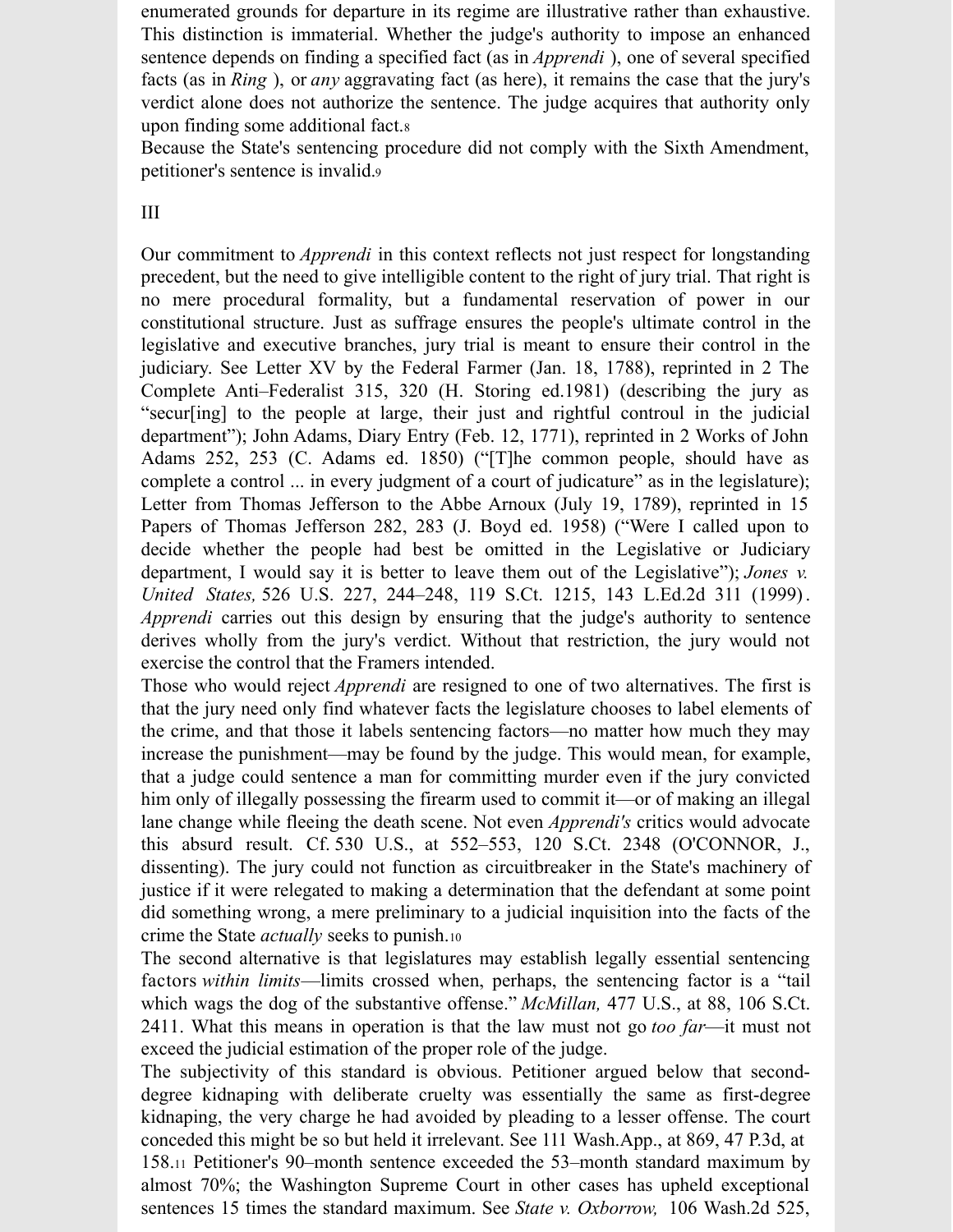enumerated grounds for departure in its regime are illustrative rather than exhaustive. This distinction is immaterial. Whether the judge's authority to impose an enhanced sentence depends on finding a specified fact (as in *Apprendi* ), one of several specified facts (as in *Ring* ), or *any* aggravating fact (as here), it remains the case that the jury's verdict alone does not authorize the sentence. The judge acquires that authority only upon finding some additional fact.[8](https://1.next.westlaw.com/Document/I81e6dedc9c9d11d9bdd1cfdd544ca3a4/View/FullText.html?transitionType=UniqueDocItem&contextData=(sc.Default)&userEnteredCitation=542+u.s.+296#co_footnote_B00982004622625)

Because the State's sentencing procedure did not comply with the Sixth Amendment, petitioner's sentence is invalid.[9](https://1.next.westlaw.com/Document/I81e6dedc9c9d11d9bdd1cfdd544ca3a4/View/FullText.html?transitionType=UniqueDocItem&contextData=(sc.Default)&userEnteredCitation=542+u.s.+296#co_footnote_B01092004622625)

#### III

Our commitment to *Apprendi* in this context reflects not just respect for longstanding precedent, but the need to give intelligible content to the right of jury trial. That right is no mere procedural formality, but a fundamental reservation of power in our constitutional structure. Just as suffrage ensures the people's ultimate control in the legislative and executive branches, jury trial is meant to ensure their control in the judiciary. See Letter XV by the Federal Farmer (Jan. 18, 1788), reprinted in 2 The Complete Anti–Federalist 315, 320 (H. Storing ed.1981) (describing the jury as "secur[ing] to the people at large, their just and rightful controul in the judicial department"); John Adams, Diary Entry (Feb. 12, 1771), reprinted in 2 Works of John Adams 252, 253 (C. Adams ed. 1850) ("[T]he common people, should have as complete a control ... in every judgment of a court of judicature" as in the legislature); Letter from Thomas Jefferson to the Abbe Arnoux (July 19, 1789), reprinted in 15 Papers of Thomas Jefferson 282, 283 (J. Boyd ed. 1958) ("Were I called upon to decide whether the people had best be omitted in the Legislative or Judiciary department, I would say it is better to leave them out of the [Legislative"\);](https://1.next.westlaw.com/Link/Document/FullText?findType=Y&serNum=1999085326&pubNum=0000708&originatingDoc=I81e6dedc9c9d11d9bdd1cfdd544ca3a4&refType=RP&originationContext=document&transitionType=DocumentItem&ppcid=0fb284f28bb24370944db6eeba67a5bb&contextData=(sc.UserEnteredCitation)) *Jones v. United States,* 526 U.S. 227, [244–248,](https://1.next.westlaw.com/Link/Document/FullText?findType=Y&serNum=1999085326&pubNum=0000708&originatingDoc=I81e6dedc9c9d11d9bdd1cfdd544ca3a4&refType=RP&originationContext=document&transitionType=DocumentItem&ppcid=0fb284f28bb24370944db6eeba67a5bb&contextData=(sc.UserEnteredCitation)) 119 S.Ct. 1215, 143 L.Ed.2d 311 (1999). *Apprendi* carries out this design by ensuring that the judge's authority to sentence derives wholly from the jury's verdict. Without that restriction, the jury would not exercise the control that the Framers intended.

Those who would reject *Apprendi* are resigned to one of two alternatives. The first is that the jury need only find whatever facts the legislature chooses to label elements of the crime, and that those it labels sentencing factors—no matter how much they may increase the punishment—may be found by the judge. This would mean, for example, that a judge could sentence a man for committing murder even if the jury convicted him only of illegally possessing the firearm used to commit it—or of making an illegal lane change while fleeing the death scene. Not even *Apprendi's* critics would advocate this absurd result. Cf. 530 U.S., at [552–553,](https://1.next.westlaw.com/Link/Document/FullText?findType=Y&serNum=2000387238&pubNum=0000708&originatingDoc=I81e6dedc9c9d11d9bdd1cfdd544ca3a4&refType=RP&originationContext=document&transitionType=DocumentItem&ppcid=0fb284f28bb24370944db6eeba67a5bb&contextData=(sc.UserEnteredCitation)) 120 S.Ct. 2348 (O'CONNOR, J., dissenting). The jury could not function as circuitbreaker in the State's machinery of justice if it were relegated to making a determination that the defendant at some point did something wrong, a mere preliminary to a judicial inquisition into the facts of the crime the State *actually* seeks to punish.[10](https://1.next.westlaw.com/Document/I81e6dedc9c9d11d9bdd1cfdd544ca3a4/View/FullText.html?transitionType=UniqueDocItem&contextData=(sc.Default)&userEnteredCitation=542+u.s.+296#co_footnote_B011102004622625)

The second alternative is that legislatures may establish legally essential sentencing factors *within limits*—limits crossed when, perhaps, the sentencing factor is a "tail which wags the dog of the [substantive](https://1.next.westlaw.com/Link/Document/FullText?findType=Y&serNum=1986131476&pubNum=0000708&originatingDoc=I81e6dedc9c9d11d9bdd1cfdd544ca3a4&refType=RP&originationContext=document&transitionType=DocumentItem&ppcid=0fb284f28bb24370944db6eeba67a5bb&contextData=(sc.UserEnteredCitation)) offense." *[McMillan,](https://1.next.westlaw.com/Link/Document/FullText?findType=Y&serNum=1986131476&pubNum=0000708&originatingDoc=I81e6dedc9c9d11d9bdd1cfdd544ca3a4&refType=RP&originationContext=document&transitionType=DocumentItem&ppcid=0fb284f28bb24370944db6eeba67a5bb&contextData=(sc.UserEnteredCitation))* 477 U.S., at 88, 106 S.Ct. 2411. What this means in operation is that the law must not go *too far*—it must not exceed the judicial estimation of the proper role of the judge.

The subjectivity of this standard is obvious. Petitioner argued below that seconddegree kidnaping with deliberate cruelty was essentially the same as first-degree kidnaping, the very charge he had avoided by pleading to a lesser offense. The court conceded this might be so but held it irrelevant. See 111 [Wash.App.,](https://1.next.westlaw.com/Link/Document/FullText?findType=Y&serNum=2002324014&pubNum=0004645&originatingDoc=I81e6dedc9c9d11d9bdd1cfdd544ca3a4&refType=RP&fi=co_pp_sp_4645_158&originationContext=document&transitionType=DocumentItem&ppcid=0fb284f28bb24370944db6eeba67a5bb&contextData=(sc.UserEnteredCitation)#co_pp_sp_4645_158) at 869, 47 P.3d, at 158.[11](https://1.next.westlaw.com/Document/I81e6dedc9c9d11d9bdd1cfdd544ca3a4/View/FullText.html?transitionType=UniqueDocItem&contextData=(sc.Default)&userEnteredCitation=542+u.s.+296#co_footnote_B012112004622625) Petitioner's 90–month sentence exceeded the 53–month standard maximum by almost 70%; the Washington Supreme Court in other cases has upheld exceptional sentences 15 times the standard [maximum.](https://1.next.westlaw.com/Link/Document/FullText?findType=Y&serNum=1986141991&pubNum=0000661&originatingDoc=I81e6dedc9c9d11d9bdd1cfdd544ca3a4&refType=RP&fi=co_pp_sp_661_1125&originationContext=document&transitionType=DocumentItem&ppcid=0fb284f28bb24370944db6eeba67a5bb&contextData=(sc.UserEnteredCitation)#co_pp_sp_661_1125) See *State v. [Oxborrow,](https://1.next.westlaw.com/Link/Document/FullText?findType=Y&serNum=1986141991&pubNum=0000661&originatingDoc=I81e6dedc9c9d11d9bdd1cfdd544ca3a4&refType=RP&fi=co_pp_sp_661_1125&originationContext=document&transitionType=DocumentItem&ppcid=0fb284f28bb24370944db6eeba67a5bb&contextData=(sc.UserEnteredCitation)#co_pp_sp_661_1125)* 106 Wash.2d 525,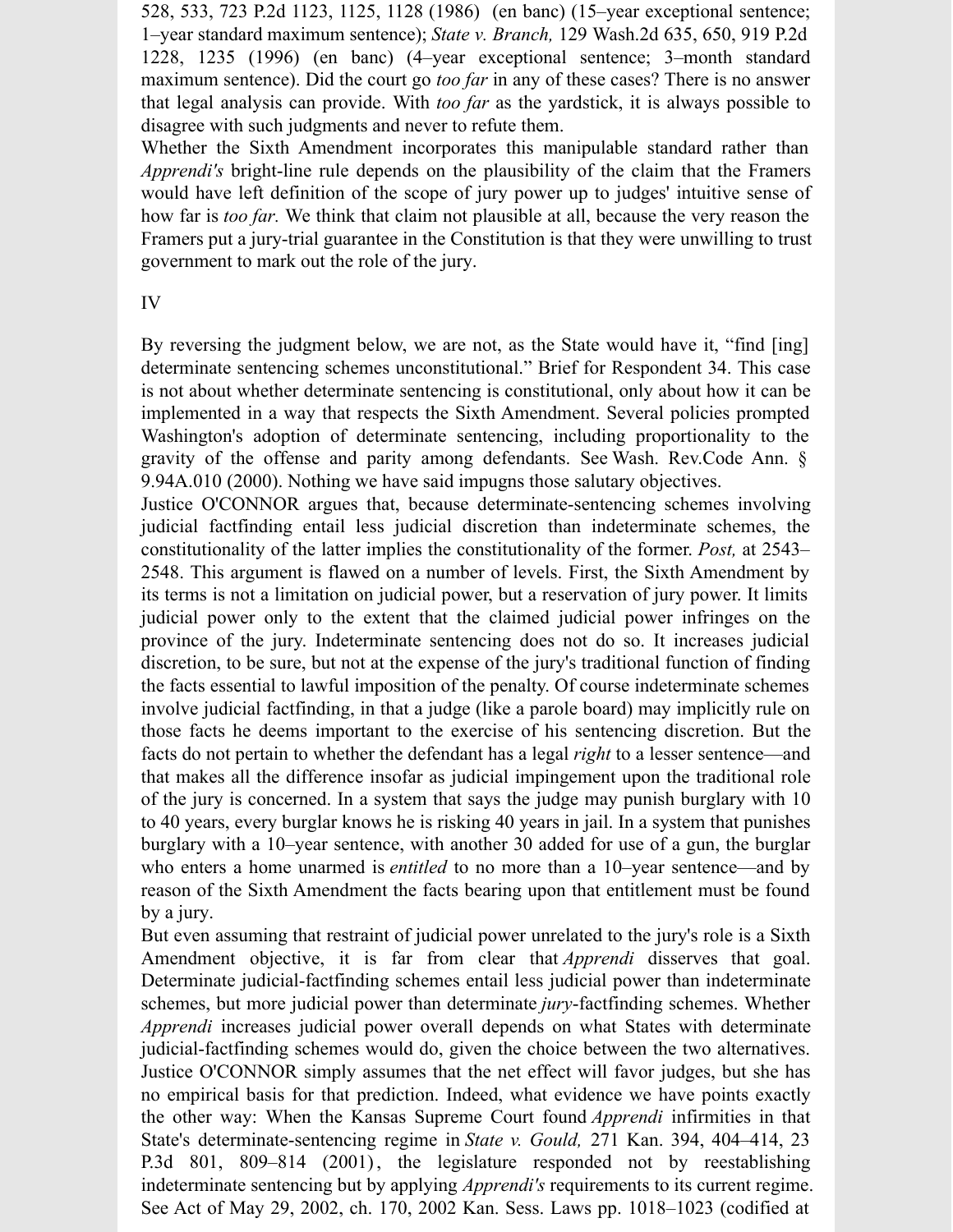528, 533, 723 P.2d 1123, 1125, 1128 (1986) (en banc) (15–year exceptional sentence; 1–year standard maximum sentence); *State v. [Branch,](https://1.next.westlaw.com/Link/Document/FullText?findType=Y&serNum=1996173030&pubNum=0000661&originatingDoc=I81e6dedc9c9d11d9bdd1cfdd544ca3a4&refType=RP&fi=co_pp_sp_661_1235&originationContext=document&transitionType=DocumentItem&ppcid=0fb284f28bb24370944db6eeba67a5bb&contextData=(sc.UserEnteredCitation)#co_pp_sp_661_1235)* 129 Wash.2d 635, 650, 919 P.2d 1228, 1235 (1996) (en banc) (4–year [exceptional](https://1.next.westlaw.com/Link/Document/FullText?findType=Y&serNum=1996173030&pubNum=0000661&originatingDoc=I81e6dedc9c9d11d9bdd1cfdd544ca3a4&refType=RP&fi=co_pp_sp_661_1235&originationContext=document&transitionType=DocumentItem&ppcid=0fb284f28bb24370944db6eeba67a5bb&contextData=(sc.UserEnteredCitation)#co_pp_sp_661_1235) sentence; 3–month standard maximum sentence). Did the court go *too far* in any of these cases? There is no answer that legal analysis can provide. With *too far* as the yardstick, it is always possible to disagree with such judgments and never to refute them.

Whether the Sixth Amendment incorporates this manipulable standard rather than *Apprendi's* bright-line rule depends on the plausibility of the claim that the Framers would have left definition of the scope of jury power up to judges' intuitive sense of how far is *too far.* We think that claim not plausible at all, because the very reason the Framers put a jury-trial guarantee in the Constitution is that they were unwilling to trust government to mark out the role of the jury.

#### IV

By reversing the judgment below, we are not, as the State would have it, "find [ing] determinate sentencing schemes unconstitutional." Brief for Respondent 34. This case is not about whether determinate sentencing is constitutional, only about how it can be implemented in a way that respects the Sixth Amendment. Several policies prompted Washington's adoption of determinate sentencing, including proportionality to the gravity of the offense and parity among [defendants.](https://1.next.westlaw.com/Link/Document/FullText?findType=L&pubNum=1000259&cite=WAST9.94A.010&originatingDoc=I81e6dedc9c9d11d9bdd1cfdd544ca3a4&refType=LQ&originationContext=document&transitionType=DocumentItem&ppcid=0fb284f28bb24370944db6eeba67a5bb&contextData=(sc.UserEnteredCitation)) See Wash. Rev.Code Ann. § 9.94A.010 (2000). Nothing we have said impugns those salutary objectives.

Justice O'CONNOR argues that, because determinate-sentencing schemes involving judicial factfinding entail less judicial discretion than indeterminate schemes, the constitutionality of the latter implies the constitutionality of the former. *Post,* at 2543– 2548. This argument is flawed on a number of levels. First, the Sixth Amendment by its terms is not a limitation on judicial power, but a reservation of jury power. It limits judicial power only to the extent that the claimed judicial power infringes on the province of the jury. Indeterminate sentencing does not do so. It increases judicial discretion, to be sure, but not at the expense of the jury's traditional function of finding the facts essential to lawful imposition of the penalty. Of course indeterminate schemes involve judicial factfinding, in that a judge (like a parole board) may implicitly rule on those facts he deems important to the exercise of his sentencing discretion. But the facts do not pertain to whether the defendant has a legal *right* to a lesser sentence—and that makes all the difference insofar as judicial impingement upon the traditional role of the jury is concerned. In a system that says the judge may punish burglary with 10 to 40 years, every burglar knows he is risking 40 years in jail. In a system that punishes burglary with a 10–year sentence, with another 30 added for use of a gun, the burglar who enters a home unarmed is *entitled* to no more than a 10–year sentence—and by reason of the Sixth Amendment the facts bearing upon that entitlement must be found by a jury.

But even assuming that restraint of judicial power unrelated to the jury's role is a Sixth Amendment objective, it is far from clear that *Apprendi* disserves that goal. Determinate judicial-factfinding schemes entail less judicial power than indeterminate schemes, but more judicial power than determinate *jury*-factfinding schemes. Whether *Apprendi* increases judicial power overall depends on what States with determinate judicial-factfinding schemes would do, given the choice between the two alternatives. Justice O'CONNOR simply assumes that the net effect will favor judges, but she has no empirical basis for that prediction. Indeed, what evidence we have points exactly the other way: When the Kansas Supreme Court found *Apprendi* infirmities in that State's [determinate-sentencing](https://1.next.westlaw.com/Link/Document/FullText?findType=Y&serNum=2001439962&pubNum=0004645&originatingDoc=I81e6dedc9c9d11d9bdd1cfdd544ca3a4&refType=RP&fi=co_pp_sp_4645_809&originationContext=document&transitionType=DocumentItem&ppcid=0fb284f28bb24370944db6eeba67a5bb&contextData=(sc.UserEnteredCitation)#co_pp_sp_4645_809) regime in *State v. [Gould,](https://1.next.westlaw.com/Link/Document/FullText?findType=Y&serNum=2001439962&pubNum=0004645&originatingDoc=I81e6dedc9c9d11d9bdd1cfdd544ca3a4&refType=RP&fi=co_pp_sp_4645_809&originationContext=document&transitionType=DocumentItem&ppcid=0fb284f28bb24370944db6eeba67a5bb&contextData=(sc.UserEnteredCitation)#co_pp_sp_4645_809)* 271 Kan. 394, 404–414, 23 P.3d 801, 809–814 (2001), the legislature responded not by reestablishing indeterminate sentencing but by applying *Apprendi's* requirements to its current regime. See Act of May 29, 2002, ch. 170, 2002 Kan. Sess. Laws pp. 1018–1023 (codified at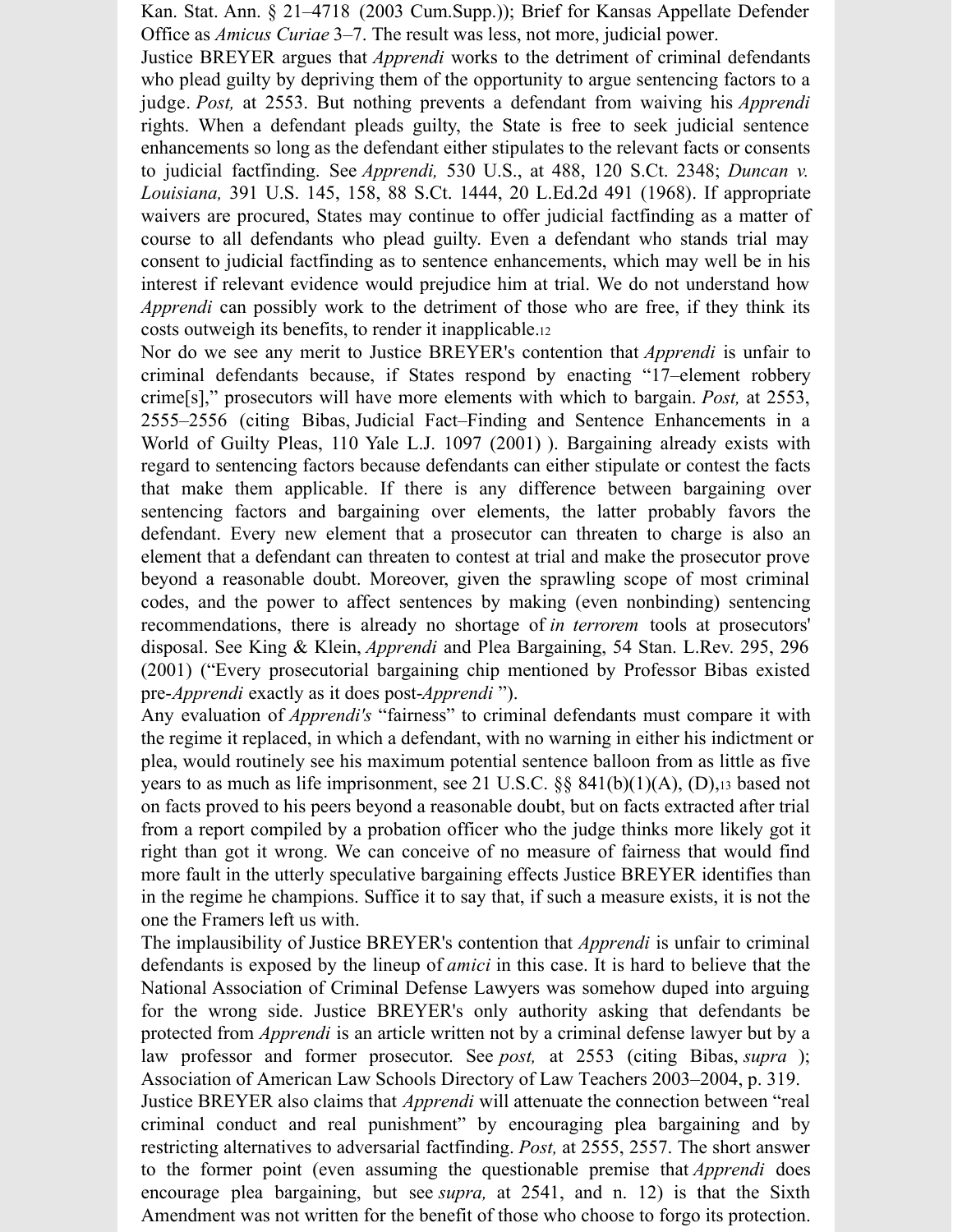Kan. Stat. Ann. § [21–4718](https://1.next.westlaw.com/Link/Document/FullText?findType=L&pubNum=1001553&cite=KSSTS21-4718&originatingDoc=I81e6dedc9c9d11d9bdd1cfdd544ca3a4&refType=LQ&originationContext=document&transitionType=DocumentItem&ppcid=0fb284f28bb24370944db6eeba67a5bb&contextData=(sc.UserEnteredCitation)) (2003 Cum.Supp.)); Brief for Kansas Appellate Defender Office as *Amicus Curiae* 3–7. The result was less, not more, judicial power.

Justice BREYER argues that *Apprendi* works to the detriment of criminal defendants who plead guilty by depriving them of the opportunity to argue sentencing factors to a judge. *Post,* at 2553. But nothing prevents a defendant from waiving his *Apprendi* rights. When a defendant pleads guilty, the State is free to seek judicial sentence enhancements so long as the defendant either stipulates to the relevant facts or consents to judicial [factfinding.](https://1.next.westlaw.com/Link/Document/FullText?findType=Y&serNum=1968131174&pubNum=0000708&originatingDoc=I81e6dedc9c9d11d9bdd1cfdd544ca3a4&refType=RP&originationContext=document&transitionType=DocumentItem&ppcid=0fb284f28bb24370944db6eeba67a5bb&contextData=(sc.UserEnteredCitation)) See *[Apprendi,](https://1.next.westlaw.com/Link/Document/FullText?findType=Y&serNum=2000387238&pubNum=0000708&originatingDoc=I81e6dedc9c9d11d9bdd1cfdd544ca3a4&refType=RP&originationContext=document&transitionType=DocumentItem&ppcid=0fb284f28bb24370944db6eeba67a5bb&contextData=(sc.UserEnteredCitation))* 530 [U.S.,](https://1.next.westlaw.com/Link/Document/FullText?findType=Y&serNum=2000387238&pubNum=0000708&originatingDoc=I81e6dedc9c9d11d9bdd1cfdd544ca3a4&refType=RP&originationContext=document&transitionType=DocumentItem&ppcid=0fb284f28bb24370944db6eeba67a5bb&contextData=(sc.UserEnteredCitation)) at 488, 120 S.Ct. 2348; *Duncan v. Louisiana,* 391 U.S. 145, 158, 88 S.Ct. 1444, 20 [L.Ed.2d](https://1.next.westlaw.com/Link/Document/FullText?findType=Y&serNum=1968131174&pubNum=0000708&originatingDoc=I81e6dedc9c9d11d9bdd1cfdd544ca3a4&refType=RP&originationContext=document&transitionType=DocumentItem&ppcid=0fb284f28bb24370944db6eeba67a5bb&contextData=(sc.UserEnteredCitation)) 491 (1968). If appropriate waivers are procured, States may continue to offer judicial factfinding as a matter of course to all defendants who plead guilty. Even a defendant who stands trial may consent to judicial factfinding as to sentence enhancements, which may well be in his interest if relevant evidence would prejudice him at trial. We do not understand how *Apprendi* can possibly work to the detriment of those who are free, if they think its costs outweigh its benefits, to render it inapplicable.[12](https://1.next.westlaw.com/Document/I81e6dedc9c9d11d9bdd1cfdd544ca3a4/View/FullText.html?transitionType=UniqueDocItem&contextData=(sc.Default)&userEnteredCitation=542+u.s.+296#co_footnote_B013122004622625)

Nor do we see any merit to Justice BREYER's contention that *Apprendi* is unfair to criminal defendants because, if States respond by enacting "17–element robbery crime[s]," prosecutors will have more elements with which to bargain. *Post,* at 2553, 2555–2556 (citing Bibas, Judicial Fact–Finding and Sentence [Enhancements](https://1.next.westlaw.com/Link/Document/FullText?findType=Y&serNum=0284116179&pubNum=0001292&originatingDoc=I81e6dedc9c9d11d9bdd1cfdd544ca3a4&refType=LR&originationContext=document&transitionType=DocumentItem&ppcid=0fb284f28bb24370944db6eeba67a5bb&contextData=(sc.UserEnteredCitation)) in a World of Guilty Pleas, 110 Yale L.J. 1097 (2001) ). Bargaining already exists with regard to sentencing factors because defendants can either stipulate or contest the facts that make them applicable. If there is any difference between bargaining over sentencing factors and bargaining over elements, the latter probably favors the defendant. Every new element that a prosecutor can threaten to charge is also an element that a defendant can threaten to contest at trial and make the prosecutor prove beyond a reasonable doubt. Moreover, given the sprawling scope of most criminal codes, and the power to affect sentences by making (even nonbinding) sentencing recommendations, there is already no shortage of *in terrorem* tools at prosecutors' disposal. See King & Klein, *[Apprendi](https://1.next.westlaw.com/Link/Document/FullText?findType=Y&serNum=0288227970&pubNum=0001239&originatingDoc=I81e6dedc9c9d11d9bdd1cfdd544ca3a4&refType=LR&fi=co_pp_sp_1239_296&originationContext=document&transitionType=DocumentItem&ppcid=0fb284f28bb24370944db6eeba67a5bb&contextData=(sc.UserEnteredCitation)#co_pp_sp_1239_296)* and Plea Bargaining, 54 Stan. L.Rev. 295, 296 (2001) ("Every [prosecutorial](https://1.next.westlaw.com/Link/Document/FullText?findType=Y&serNum=0288227970&pubNum=0001239&originatingDoc=I81e6dedc9c9d11d9bdd1cfdd544ca3a4&refType=LR&fi=co_pp_sp_1239_296&originationContext=document&transitionType=DocumentItem&ppcid=0fb284f28bb24370944db6eeba67a5bb&contextData=(sc.UserEnteredCitation)#co_pp_sp_1239_296) bargaining chip mentioned by Professor Bibas existed pre-*Apprendi* exactly as it does post-*Apprendi* ").

Any evaluation of *Apprendi's* "fairness" to criminal defendants must compare it with the regime it replaced, in which a defendant, with no warning in either his indictment or plea, would routinely see his maximum potential sentence balloon from as little as five years to as much as life imprisonment, see 21 U.S.C. §§ [841\(b\)\(1\)\(A\),](https://1.next.westlaw.com/Link/Document/FullText?findType=L&pubNum=1000546&cite=21USCAS841&originatingDoc=I81e6dedc9c9d11d9bdd1cfdd544ca3a4&refType=RB&originationContext=document&transitionType=DocumentItem&ppcid=0fb284f28bb24370944db6eeba67a5bb&contextData=(sc.UserEnteredCitation)#co_pp_8b16000077793) (D),[13](https://1.next.westlaw.com/Document/I81e6dedc9c9d11d9bdd1cfdd544ca3a4/View/FullText.html?transitionType=UniqueDocItem&contextData=(sc.Default)&userEnteredCitation=542+u.s.+296#co_footnote_B014132004622625) based not on facts proved to his peers beyond a reasonable doubt, but on facts extracted after trial from a report compiled by a probation officer who the judge thinks more likely got it right than got it wrong. We can conceive of no measure of fairness that would find more fault in the utterly speculative bargaining effects Justice BREYER identifies than in the regime he champions. Suffice it to say that, if such a measure exists, it is not the one the Framers left us with.

The implausibility of Justice BREYER's contention that *Apprendi* is unfair to criminal defendants is exposed by the lineup of *amici* in this case. It is hard to believe that the National Association of Criminal Defense Lawyers was somehow duped into arguing for the wrong side. Justice BREYER's only authority asking that defendants be protected from *Apprendi* is an article written not by a criminal defense lawyer but by a law professor and former prosecutor. See *post,* at 2553 (citing Bibas, *supra* ); Association of American Law Schools Directory of Law Teachers 2003–2004, p. 319. Justice BREYER also claims that *Apprendi* will attenuate the connection between "real criminal conduct and real punishment" by encouraging plea bargaining and by restricting alternatives to adversarial factfinding. *Post,* at 2555, 2557. The short answer to the former point (even assuming the questionable premise that *Apprendi* does encourage plea bargaining, but see *supra,* at 2541, and n. 12) is that the Sixth Amendment was not written for the benefit of those who choose to forgo its protection.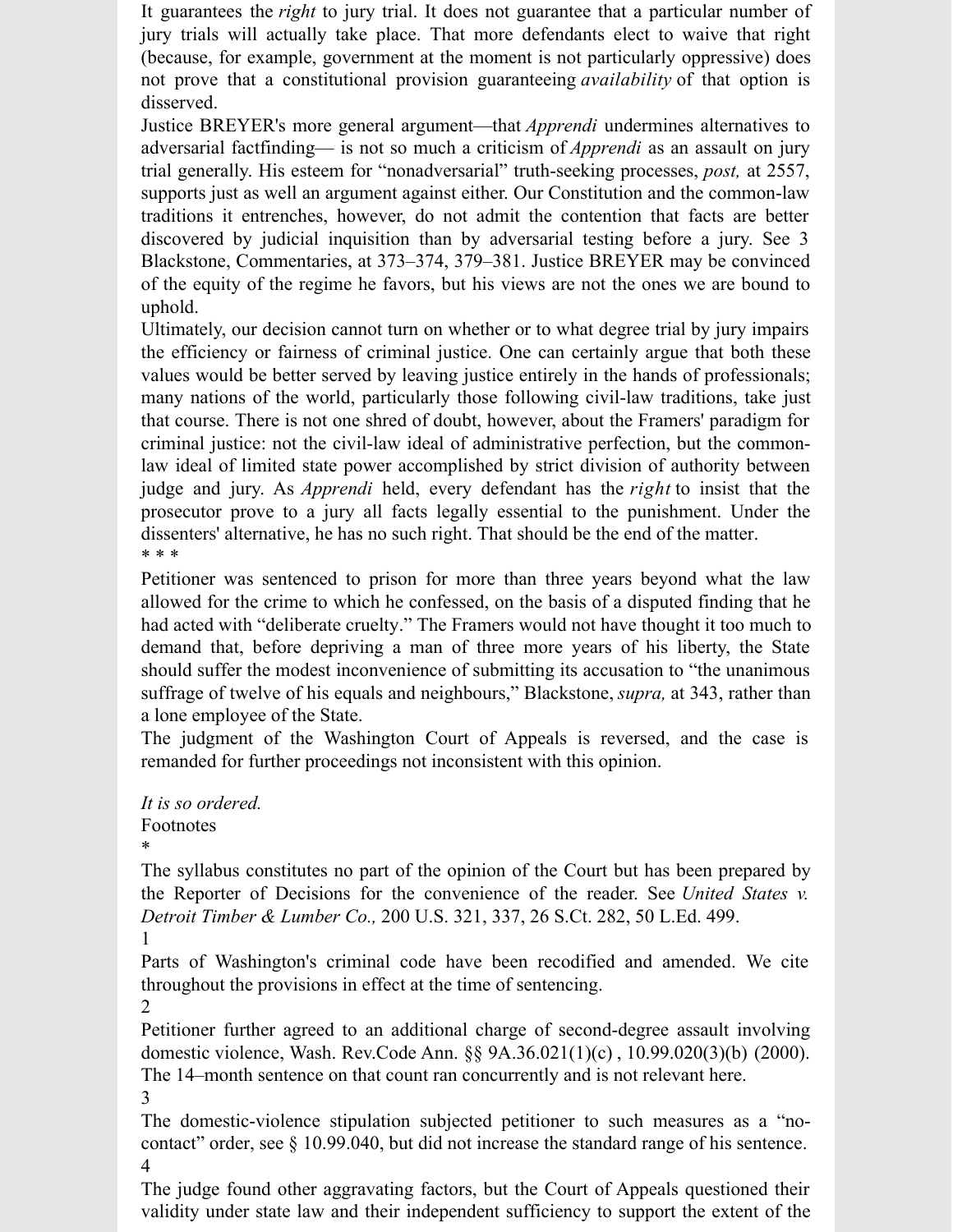It guarantees the *right* to jury trial. It does not guarantee that a particular number of jury trials will actually take place. That more defendants elect to waive that right (because, for example, government at the moment is not particularly oppressive) does not prove that a constitutional provision guaranteeing *availability* of that option is disserved.

Justice BREYER's more general argument—that *Apprendi* undermines alternatives to adversarial factfinding— is not so much a criticism of *Apprendi* as an assault on jury trial generally. His esteem for "nonadversarial" truth-seeking processes, *post,* at 2557, supports just as well an argument against either. Our Constitution and the common-law traditions it entrenches, however, do not admit the contention that facts are better discovered by judicial inquisition than by adversarial testing before a jury. See 3 Blackstone, Commentaries, at 373–374, 379–381. Justice BREYER may be convinced of the equity of the regime he favors, but his views are not the ones we are bound to uphold.

Ultimately, our decision cannot turn on whether or to what degree trial by jury impairs the efficiency or fairness of criminal justice. One can certainly argue that both these values would be better served by leaving justice entirely in the hands of professionals; many nations of the world, particularly those following civil-law traditions, take just that course. There is not one shred of doubt, however, about the Framers' paradigm for criminal justice: not the civil-law ideal of administrative perfection, but the commonlaw ideal of limited state power accomplished by strict division of authority between judge and jury. As *Apprendi* held, every defendant has the *right* to insist that the prosecutor prove to a jury all facts legally essential to the punishment. Under the dissenters' alternative, he has no such right. That should be the end of the matter. \* \* \*

Petitioner was sentenced to prison for more than three years beyond what the law allowed for the crime to which he confessed, on the basis of a disputed finding that he had acted with "deliberate cruelty." The Framers would not have thought it too much to demand that, before depriving a man of three more years of his liberty, the State should suffer the modest inconvenience of submitting its accusation to "the unanimous suffrage of twelve of his equals and neighbours," Blackstone, *supra,* at 343, rather than a lone employee of the State.

The judgment of the Washington Court of Appeals is reversed, and the case is remanded for further proceedings not inconsistent with this opinion.

*It is so ordered.* Footnotes [\\*](https://1.next.westlaw.com/Document/I81e6dedc9c9d11d9bdd1cfdd544ca3a4/View/FullText.html?transitionType=UniqueDocItem&contextData=(sc.Default)&userEnteredCitation=542+u.s.+296#co_fnRef_B0012004622625_ID0EVJAG)

The syllabus constitutes no part of the opinion of the Court but has been prepared by the Reporter of Decisions for the [convenience](https://1.next.westlaw.com/Link/Document/FullText?findType=Y&serNum=1906101604&pubNum=0000708&originatingDoc=I81e6dedc9c9d11d9bdd1cfdd544ca3a4&refType=RP&originationContext=document&transitionType=DocumentItem&ppcid=0fb284f28bb24370944db6eeba67a5bb&contextData=(sc.UserEnteredCitation)) of the reader. See *United States v. Detroit Timber & Lumber Co.,* 200 U.S. 321, 337, 26 S.Ct. 282, 50 [L.Ed.](https://1.next.westlaw.com/Link/Document/FullText?findType=Y&serNum=1906101604&pubNum=0000708&originatingDoc=I81e6dedc9c9d11d9bdd1cfdd544ca3a4&refType=RP&originationContext=document&transitionType=DocumentItem&ppcid=0fb284f28bb24370944db6eeba67a5bb&contextData=(sc.UserEnteredCitation)) 499.

[1](https://1.next.westlaw.com/Document/I81e6dedc9c9d11d9bdd1cfdd544ca3a4/View/FullText.html?transitionType=UniqueDocItem&contextData=(sc.Default)&userEnteredCitation=542+u.s.+296#co_fnRef_B00212004622625_ID0EC1AG)

Parts of Washington's criminal code have been recodified and amended. We cite throughout the provisions in effect at the time of sentencing.

[2](https://1.next.westlaw.com/Document/I81e6dedc9c9d11d9bdd1cfdd544ca3a4/View/FullText.html?transitionType=UniqueDocItem&contextData=(sc.Default)&userEnteredCitation=542+u.s.+296#co_fnRef_B00322004622625_ID0EI2AG)

Petitioner further agreed to an additional charge of second-degree assault involving domestic violence, Wash. Rev.Code Ann. §§ [9A.36.021\(1\)\(c\)](https://1.next.westlaw.com/Link/Document/FullText?findType=L&pubNum=1000259&cite=WAST9A.36.021&originatingDoc=I81e6dedc9c9d11d9bdd1cfdd544ca3a4&refType=SP&originationContext=document&transitionType=DocumentItem&ppcid=0fb284f28bb24370944db6eeba67a5bb&contextData=(sc.UserEnteredCitation)#co_pp_626f000023d46) , [10.99.020\(3\)\(b\)](https://1.next.westlaw.com/Link/Document/FullText?findType=L&pubNum=1000259&cite=WAST10.99.020&originatingDoc=I81e6dedc9c9d11d9bdd1cfdd544ca3a4&refType=SP&originationContext=document&transitionType=DocumentItem&ppcid=0fb284f28bb24370944db6eeba67a5bb&contextData=(sc.UserEnteredCitation)#co_pp_d08f0000f5f67) (2000). The 14–month sentence on that count ran concurrently and is not relevant here. [3](https://1.next.westlaw.com/Document/I81e6dedc9c9d11d9bdd1cfdd544ca3a4/View/FullText.html?transitionType=UniqueDocItem&contextData=(sc.Default)&userEnteredCitation=542+u.s.+296#co_fnRef_B00432004622625_ID0EM6AG)

The domestic-violence stipulation subjected petitioner to such measures as a "nocontact" order, see § 10.99.040, but did not increase the standard range of his sentence. [4](https://1.next.westlaw.com/Document/I81e6dedc9c9d11d9bdd1cfdd544ca3a4/View/FullText.html?transitionType=UniqueDocItem&contextData=(sc.Default)&userEnteredCitation=542+u.s.+296#co_fnRef_B00542004622625_ID0ESDBG)

The judge found other aggravating factors, but the Court of Appeals questioned their validity under state law and their independent sufficiency to support the extent of the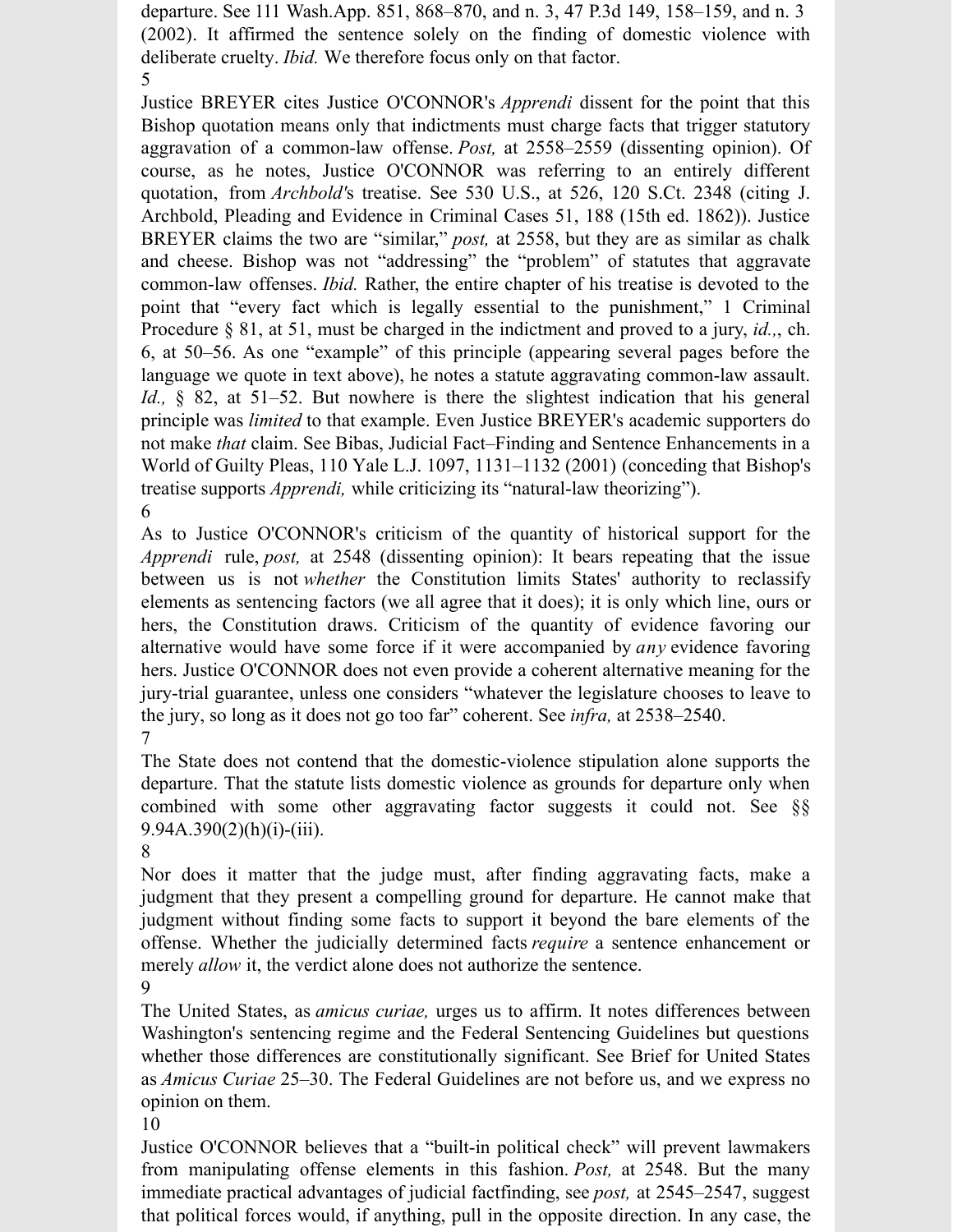departure. See 111 [Wash.App.](https://1.next.westlaw.com/Link/Document/FullText?findType=Y&serNum=2002324014&pubNum=0004645&originatingDoc=I81e6dedc9c9d11d9bdd1cfdd544ca3a4&refType=RP&fi=co_pp_sp_4645_158&originationContext=document&transitionType=DocumentItem&ppcid=0fb284f28bb24370944db6eeba67a5bb&contextData=(sc.UserEnteredCitation)#co_pp_sp_4645_158) 851, 868–870, and n. 3, 47 P.3d 149, 158–159, and n. 3 (2002). It affirmed the sentence solely on the finding of domestic violence with deliberate cruelty. *Ibid.* We therefore focus only on that factor. [5](https://1.next.westlaw.com/Document/I81e6dedc9c9d11d9bdd1cfdd544ca3a4/View/FullText.html?transitionType=UniqueDocItem&contextData=(sc.Default)&userEnteredCitation=542+u.s.+296#co_fnRef_B00652004622625_ID0ERMBG)

Justice BREYER cites Justice O'CONNOR's *Apprendi* dissent for the point that this Bishop quotation means only that indictments must charge facts that trigger statutory aggravation of a common-law offense. *Post,* at 2558–2559 (dissenting opinion). Of course, as he notes, Justice O'CONNOR was referring to an entirely different quotation, from *[Archbold'](https://1.next.westlaw.com/Link/Document/FullText?findType=Y&serNum=2000387238&pubNum=0000708&originatingDoc=I81e6dedc9c9d11d9bdd1cfdd544ca3a4&refType=RP&originationContext=document&transitionType=DocumentItem&ppcid=0fb284f28bb24370944db6eeba67a5bb&contextData=(sc.UserEnteredCitation))*s [treatise.](https://1.next.westlaw.com/Link/Document/FullText?findType=Y&serNum=2000387238&pubNum=0000708&originatingDoc=I81e6dedc9c9d11d9bdd1cfdd544ca3a4&refType=RP&originationContext=document&transitionType=DocumentItem&ppcid=0fb284f28bb24370944db6eeba67a5bb&contextData=(sc.UserEnteredCitation)) See 530 U.S., at 526, 120 S.Ct. 2348 (citing J. Archbold, Pleading and Evidence in Criminal Cases 51, 188 (15th ed. 1862)). Justice BREYER claims the two are "similar," *post,* at 2558, but they are as similar as chalk and cheese. Bishop was not "addressing" the "problem" of statutes that aggravate common-law offenses. *Ibid.* Rather, the entire chapter of his treatise is devoted to the point that "every fact which is legally essential to the punishment," 1 Criminal Procedure § 81, at 51, must be charged in the indictment and proved to a jury, *id.,*, ch. 6, at 50–56. As one "example" of this principle (appearing several pages before the language we quote in text above), he notes a statute aggravating common-law assault. *Id.*, § 82, at 51–52. But nowhere is there the slightest indication that his general principle was *limited* to that example. Even Justice BREYER's academic supporters do not make *that* claim. See Bibas, Judicial Fact–Finding and Sentence [Enhancements](https://1.next.westlaw.com/Link/Document/FullText?findType=Y&serNum=0284116179&pubNum=0001292&originatingDoc=I81e6dedc9c9d11d9bdd1cfdd544ca3a4&refType=LR&fi=co_pp_sp_1292_1131&originationContext=document&transitionType=DocumentItem&ppcid=0fb284f28bb24370944db6eeba67a5bb&contextData=(sc.UserEnteredCitation)#co_pp_sp_1292_1131) in a World of Guilty Pleas, 110 Yale L.J. 1097, 1131–1132 (2001) (conceding that Bishop's treatise supports *Apprendi,* while criticizing its "natural-law theorizing"). [6](https://1.next.westlaw.com/Document/I81e6dedc9c9d11d9bdd1cfdd544ca3a4/View/FullText.html?transitionType=UniqueDocItem&contextData=(sc.Default)&userEnteredCitation=542+u.s.+296#co_fnRef_B00762004622625_ID0ESNBG)

As to Justice O'CONNOR's criticism of the quantity of historical support for the *Apprendi* rule, *post,* at 2548 (dissenting opinion): It bears repeating that the issue between us is not *whether* the Constitution limits States' authority to reclassify elements as sentencing factors (we all agree that it does); it is only which line, ours or hers, the Constitution draws. Criticism of the quantity of evidence favoring our alternative would have some force if it were accompanied by *any* evidence favoring hers. Justice O'CONNOR does not even provide a coherent alternative meaning for the jury-trial guarantee, unless one considers "whatever the legislature chooses to leave to the jury, so long as it does not go too far" coherent. See *infra,* at 2538–2540. [7](https://1.next.westlaw.com/Document/I81e6dedc9c9d11d9bdd1cfdd544ca3a4/View/FullText.html?transitionType=UniqueDocItem&contextData=(sc.Default)&userEnteredCitation=542+u.s.+296#co_fnRef_B00872004622625_ID0ES3BG)

The State does not contend that the domestic-violence stipulation alone supports the departure. That the statute lists domestic violence as grounds for departure only when combined with some other aggravating factor suggests it could not. See §§ 9.94A.390(2)(h)(i)-(iii).

[8](https://1.next.westlaw.com/Document/I81e6dedc9c9d11d9bdd1cfdd544ca3a4/View/FullText.html?transitionType=UniqueDocItem&contextData=(sc.Default)&userEnteredCitation=542+u.s.+296#co_fnRef_B00982004622625_ID0EEFAI)

Nor does it matter that the judge must, after finding aggravating facts, make a judgment that they present a compelling ground for departure. He cannot make that judgment without finding some facts to support it beyond the bare elements of the offense. Whether the judicially determined facts *require* a sentence enhancement or merely *allow* it, the verdict alone does not authorize the sentence.

[9](https://1.next.westlaw.com/Document/I81e6dedc9c9d11d9bdd1cfdd544ca3a4/View/FullText.html?transitionType=UniqueDocItem&contextData=(sc.Default)&userEnteredCitation=542+u.s.+296#co_fnRef_B01092004622625_ID0EOGAI)

The United States, as *amicus curiae,* urges us to affirm. It notes differences between Washington's sentencing regime and the Federal Sentencing Guidelines but questions whether those differences are constitutionally significant. See Brief for United States as *Amicus Curiae* 25–30. The Federal Guidelines are not before us, and we express no opinion on them.

[10](https://1.next.westlaw.com/Document/I81e6dedc9c9d11d9bdd1cfdd544ca3a4/View/FullText.html?transitionType=UniqueDocItem&contextData=(sc.Default)&userEnteredCitation=542+u.s.+296#co_fnRef_B011102004622625_ID0E6MAI)

Justice O'CONNOR believes that a "built-in political check" will prevent lawmakers from manipulating offense elements in this fashion. *Post,* at 2548. But the many immediate practical advantages of judicial factfinding, see *post,* at 2545–2547, suggest that political forces would, if anything, pull in the opposite direction. In any case, the